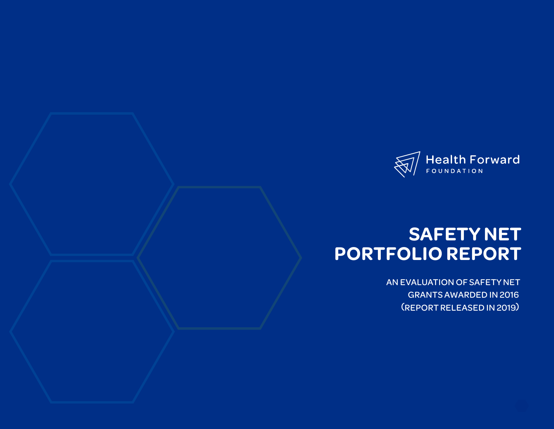

# **SAFETY NET PORTFOLIO REPORT**

AN EVALUATION OF SAFETY NET GRANTS AWARDED IN 2016 (REPORT RELEASED IN 2019)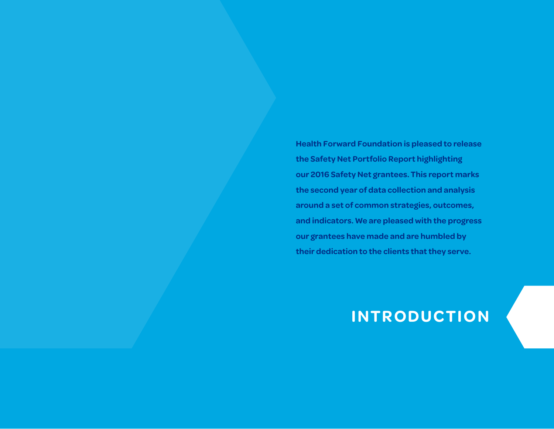**Health Forward Foundation is pleased to release the Safety Net Portfolio Report highlighting our 2016 Safety Net grantees. This report marks the second year of data collection and analysis around a set of common strategies, outcomes, and indicators. We are pleased with the progress our grantees have made and are humbled by their dedication to the clients that they serve.**

# **INTRODUCTION**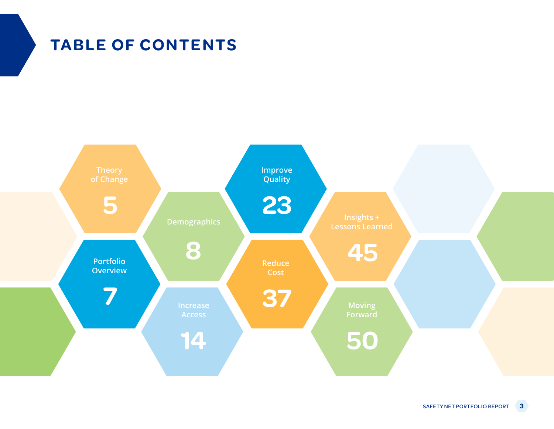# **TABLE OF CONTENTS**

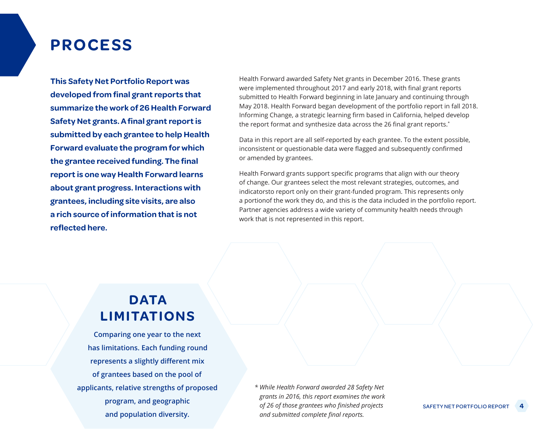### **PROCESS**

**This Safety Net Portfolio Report was developed from final grant reports that summarize the work of 26 Health Forward Safety Net grants. A final grant report is submitted by each grantee to help Health Forward evaluate the program for which the grantee received funding. The final report is one way Health Forward learns about grant progress. Interactions with grantees, including site visits, are also a rich source of information that is not reflected here.**

Health Forward awarded Safety Net grants in December 2016. These grants were implemented throughout 2017 and early 2018, with final grant reports submitted to Health Forward beginning in late January and continuing through May 2018. Health Forward began development of the portfolio report in fall 2018. Informing Change, a strategic learning firm based in California, helped develop the report format and synthesize data across the 26 final grant reports.\*

Data in this report are all self-reported by each grantee. To the extent possible, inconsistent or questionable data were flagged and subsequently confirmed or amended by grantees.

Health Forward grants support specific programs that align with our theory of change. Our grantees select the most relevant strategies, outcomes, and indicatorsto report only on their grant-funded program. This represents only a portionof the work they do, and this is the data included in the portfolio report. Partner agencies address a wide variety of community health needs through work that is not represented in this report.

### **DATA LIMITATIONS**

**Comparing one year to the next has limitations. Each funding round represents a slightly different mix of grantees based on the pool of applicants, relative strengths of proposed program, and geographic and population diversity.**

*\* While Health Forward awarded 28 Safety Net grants in 2016, this report examines the work of 26 of those grantees who finished projects and submitted complete final reports.*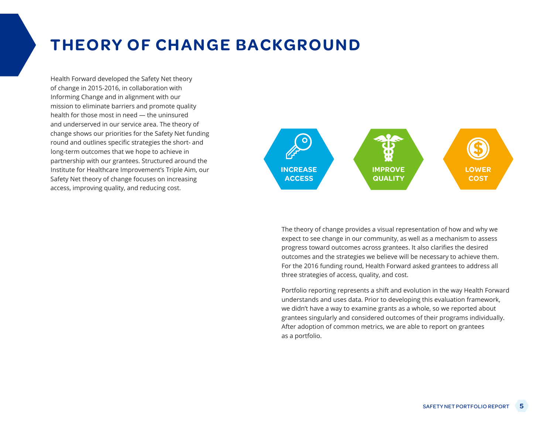## **THEORY OF CHANGE BACKGROUND**

Health Forward developed the Safety Net theory of change in 2015-2016, in collaboration with Informing Change and in alignment with our mission to eliminate barriers and promote quality health for those most in need — the uninsured and underserved in our service area. The theory of change shows our priorities for the Safety Net funding round and outlines specific strategies the short- and long-term outcomes that we hope to achieve in partnership with our grantees. Structured around the Institute for Healthcare Improvement's Triple Aim, our Safety Net theory of change focuses on increasing access, improving quality, and reducing cost.



The theory of change provides a visual representation of how and why we expect to see change in our community, as well as a mechanism to assess progress toward outcomes across grantees. It also clarifies the desired outcomes and the strategies we believe will be necessary to achieve them. For the 2016 funding round, Health Forward asked grantees to address all three strategies of access, quality, and cost.

Portfolio reporting represents a shift and evolution in the way Health Forward understands and uses data. Prior to developing this evaluation framework, we didn't have a way to examine grants as a whole, so we reported about grantees singularly and considered outcomes of their programs individually. After adoption of common metrics, we are able to report on grantees as a portfolio.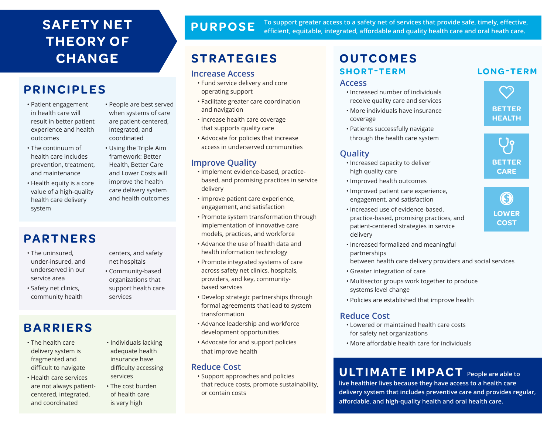### **SAFETY NET T H EO RY O F CHANGE**

### **PRINCIPLES**

- Patient engagement in health care will result in better patient experience and health outcomes
- The continuum of health care includes prevention, treatment, and maintenance
- Health equity is a core value of a high-quality health care delivery system
- People are best served when systems of care are patient-centered, integrated, and coordinated
- Using the Triple Aim framework: Better Health, Better Care and Lower Costs will improve the health care delivery system and health outcomes

### **PARTNERS**

- The uninsured, under-insured, and underserved in our service area
- Safety net clinics, community health
- centers, and safety net hospitals
- Community-based organizations that support health care services

### **BARRIERS**

- The health care delivery system is fragmented and difficult to navigate
- Health care services are not always patientcentered, integrated, and coordinated
- Individuals lacking adequate health insurance have difficulty accessing services
- The cost burden of health care is very high

### **PURPOSE**

**To support greater access to a safety net of services that provide safe, timely, effective, efficient, equitable, integrated, affordable and quality health care and oral heath care.**

### **STRATEGIES OUTCOMES**

#### **Increase Access**

- Fund service delivery and core operating support
- Facilitate greater care coordination and navigation
- Increase health care coverage that supports quality care
- Advocate for policies that increase access in underserved communities

#### **Improve Quality**

- Implement evidence-based, practicebased, and promising practices in service delivery
- Improve patient care experience, engagement, and satisfaction
- Promote system transformation through implementation of innovative care models, practices, and workforce
- Advance the use of health data and health information technology
- Promote integrated systems of care across safety net clinics, hospitals, providers, and key, communitybased services
- Develop strategic partnerships through formal agreements that lead to system transformation
- Advance leadership and workforce development opportunities
- Advocate for and support policies that improve health

#### **Reduce Cost**

• Support approaches and policies that reduce costs, promote sustainability, or contain costs

# **SHORT-TERM LONG-TERM**

#### **Access**

- Increased number of individuals receive quality care and services
- More individuals have insurance coverage
- Patients successfully navigate through the health care system

### **Quality**

- Increased capacity to deliver high quality care
- Improved health outcomes
- Improved patient care experience, engagement, and satisfaction
- Increased use of evidence-based, practice-based, promising practices, and patient-centered strategies in service delivery
- Increased formalized and meaningful partnerships
- between health care delivery providers and social services
- Greater integration of care
- Multisector groups work together to produce systems level change
- Policies are established that improve health

#### **Reduce Cost**

- Lowered or maintained health care costs for safety net organizations
- More affordable health care for individuals

### **U LT I M AT E I M PA C T People are able to**

**live healthier lives because they have access to a health care delivery system that includes preventive care and provides regular, affordable, and high-quality health and oral health care.**



G **LOWER COST**

 $\mathcal{L}$ **BETTER HEALTH**

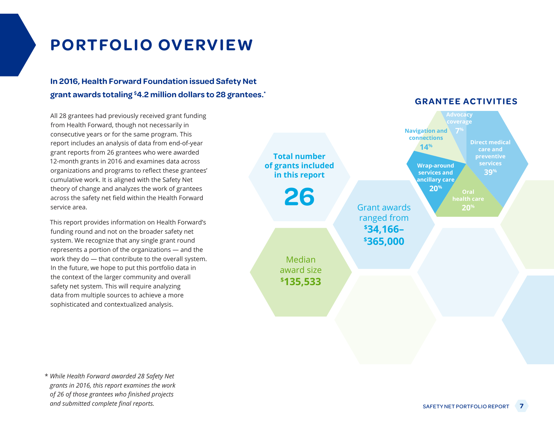# **PORTFOLIO OVERVIEW**

### **In 2016, Health Forward Foundation issued Safety Net grant awards totaling \$ 4.2 million dollars to 28 grantees.\***

All 28 grantees had previously received grant funding from Health Forward, though not necessarily in consecutive years or for the same program. This report includes an analysis of data from end-of-year grant reports from 26 grantees who were awarded 12-month grants in 2016 and examines data across organizations and programs to reflect these grantees' cumulative work. It is aligned with the Safety Net theory of change and analyzes the work of grantees across the safety net field within the Health Forward service area.

This report provides information on Health Forward's funding round and not on the broader safety net system. We recognize that any single grant round represents a portion of the organizations — and the work they do — that contribute to the overall system. In the future, we hope to put this portfolio data in the context of the larger community and overall safety net system. This will require analyzing data from multiple sources to achieve a more sophisticated and contextualized analysis.



\* *While Health Forward awarded 28 Safety Net grants in 2016, this report examines the work of 26 of those grantees who finished projects and submitted complete final reports.*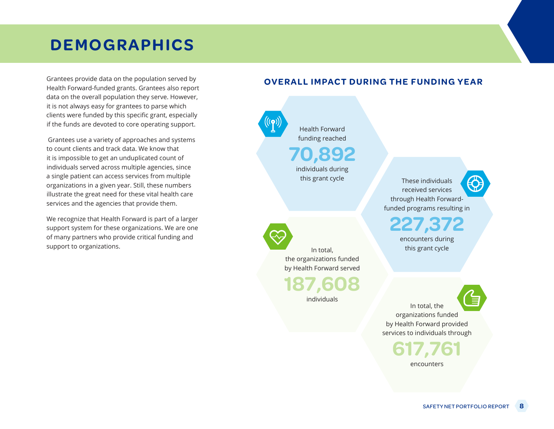Grantees provide data on the population served by Health Forward-funded grants. Grantees also report data on the overall population they serve. However, it is not always easy for grantees to parse which clients were funded by this specific grant, especially if the funds are devoted to core operating support.

 Grantees use a variety of approaches and systems to count clients and track data. We know that it is impossible to get an unduplicated count of individuals served across multiple agencies, since a single patient can access services from multiple organizations in a given year. Still, these numbers illustrate the great need for these vital health care services and the agencies that provide them.

We recognize that Health Forward is part of a larger support system for these organizations. We are one of many partners who provide critical funding and support to organizations.

#### **OVERALL IMPACT DURING THE FUNDING YEAR**

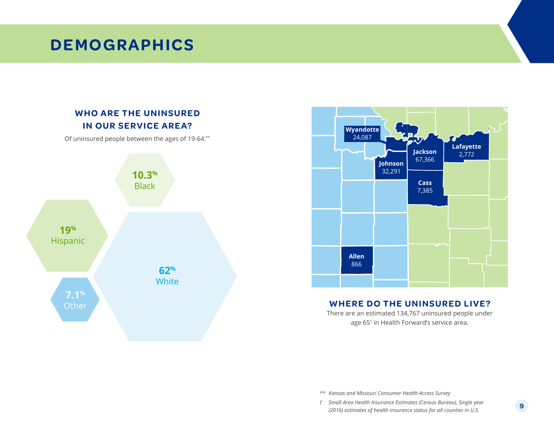### **WHO ARE THE UNINSURED IN OUR SERVICE AREA?**

Of uninsured people between the ages of 19-64:\*\*





#### **WHERE DO THE UNINSURED LIVE?**

There are an estimated 134,767 uninsured people under age 65† in Health Forward's service area.

*\*\* Kansas and Missouri Consumer Health Access Survey*

*† Small Area Health Insurance Estimates (Census Bureau), Single year (2016) estimates of health insurance status for all counties in U.S.*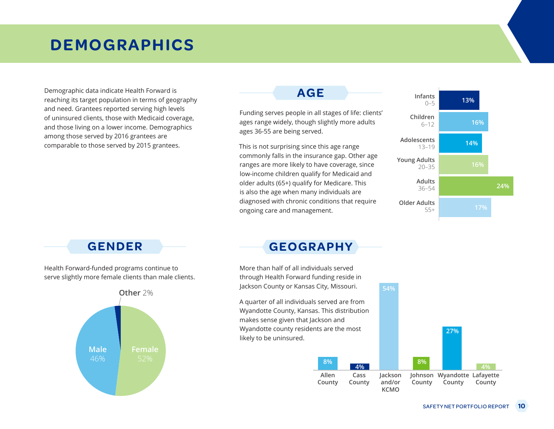Demographic data indicate Health Forward is reaching its target population in terms of geography and need. Grantees reported serving high levels of uninsured clients, those with Medicaid coverage, and those living on a lower income. Demographics among those served by 2016 grantees are comparable to those served by 2015 grantees.

### **AGE**

Funding serves people in all stages of life: clients' ages range widely, though slightly more adults ages 36-55 are being served.

This is not surprising since this age range commonly falls in the insurance gap. Other age ranges are more likely to have coverage, since low-income children qualify for Medicaid and older adults (65+) qualify for Medicare. This is also the age when many individuals are diagnosed with chronic conditions that require ongoing care and management.



Health Forward-funded programs continue to serve slightly more female clients than male clients.



### **GENDER GEOGRAPHY**

More than half of all individuals served through Health Forward funding reside in Jackson County or Kansas City, Missouri.

A quarter of all individuals served are from Wyandotte County, Kansas. This distribution makes sense given that Jackson and Wyandotte county residents are the most likely to be uninsured.

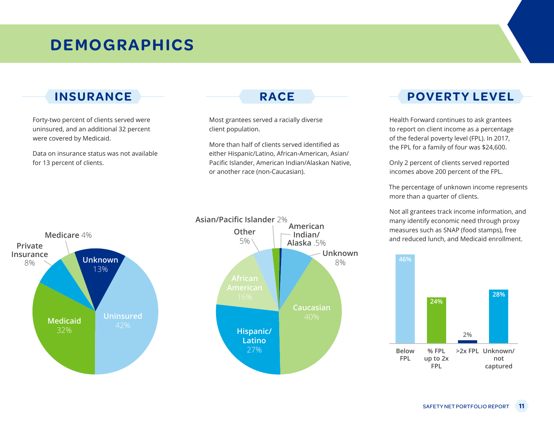Forty-two percent of clients served were uninsured, and an additional 32 percent were covered by Medicaid.

Data on insurance status was not available for 13 percent of clients.

Most grantees served a racially diverse client population.

More than half of clients served identified as either Hispanic/Latino, African-American, Asian/ Pacific Islander, American Indian/Alaskan Native, or another race (non-Caucasian).

### **INSURANCE RACE POVERTY LEVEL**

Health Forward continues to ask grantees to report on client income as a percentage of the federal poverty level (FPL). In 2017, the FPL for a family of four was \$24,600.

Only 2 percent of clients served reported incomes above 200 percent of the FPL.

The percentage of unknown income represents more than a quarter of clients.

Not all grantees track income information, and many identify economic need through proxy measures such as SNAP (food stamps), free and reduced lunch, and Medicaid enrollment.





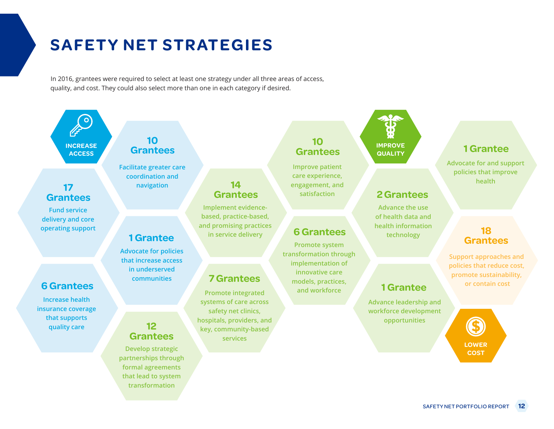# **SAFETY NET STRATEGIES**

In 2016, grantees were required to select at least one strategy under all three areas of access, quality, and cost. They could also select more than one in each category if desired.

> **Implement evidencebased, practice-based, and promising practices in service delivery**

**14 Grantees**

**Promote integrated systems of care across safety net clinics, hospitals, providers, and key, community-based services**

**7 Grantees**

**INCREASE ACCESS**

### **17 Grantees**

**Fund service delivery and core operating support**

### **6 Grantees**

**Increase health insurance coverage that supports quality care**

### **10 Grantees**

**Facilitate greater care coordination and navigation**

### **1 Grantee**

**Advocate for policies that increase access in underserved communities**

### **12 Grantees**

**Develop strategic partnerships through formal agreements that lead to system transformation**

# **Grantees**

**Improve patient care experience, engagement, and satisfaction**

#### **6 Grantees**

**Promote system transformation through implementation of innovative care models, practices, and workforce**



### **2 Grantees**

**Advance the use of health data and health information technology**

### **1 Grantee**

**Advance leadership and workforce development opportunities**

**Advocate for and support policies that improve health**

### **18 Grantees**

**Support approaches and policies that reduce cost, promote sustainability, or contain cost**

**LOWER**

**COST**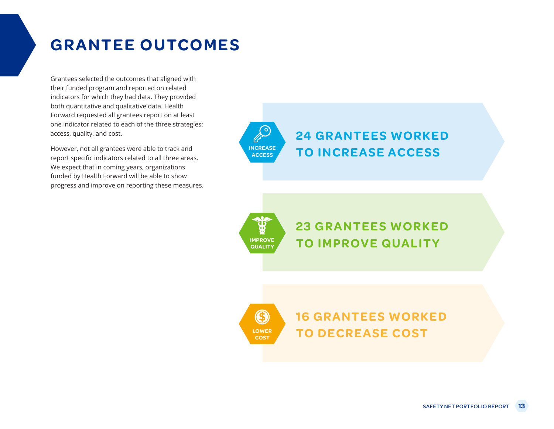## **GRANTEE OUTCOMES**

Grantees selected the outcomes that aligned with their funded program and reported on related indicators for which they had data. They provided both quantitative and qualitative data. Health Forward requested all grantees report on at least one indicator related to each of the three strategies: access, quality, and cost.

However, not all grantees were able to track and report specific indicators related to all three areas. We expect that in coming years, organizations funded by Health Forward will be able to show progress and improve on reporting these measures. **INCREASE ACCESS 24 GRANTEES WORKED TO INCREASE ACCESS**



**LOWER COST**

(S

**23 GRANTEES WORKED TO IMPROVE QUALITY**

**16 GRANTEES WORKED TO DECREASE COST**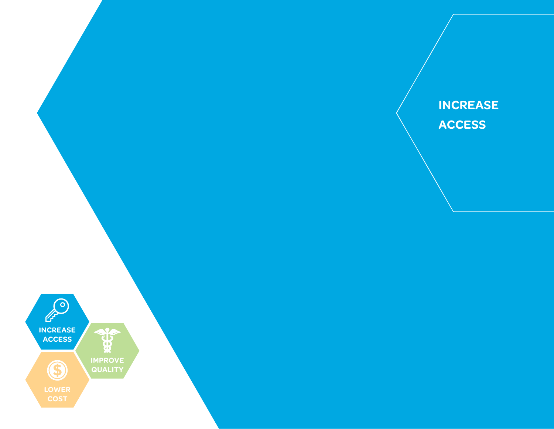

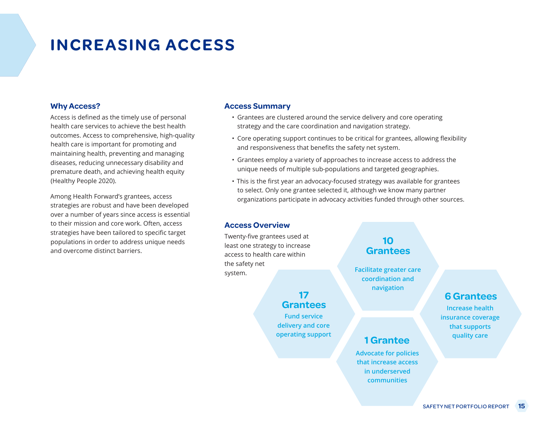## **INCREASING ACCESS**

#### **Why Access?**

Access is defined as the timely use of personal health care services to achieve the best health outcomes. Access to comprehensive, high-quality health care is important for promoting and maintaining health, preventing and managing diseases, reducing unnecessary disability and premature death, and achieving health equity (Healthy People 2020).

Among Health Forward's grantees, access strategies are robust and have been developed over a number of years since access is essential to their mission and core work. Often, access strategies have been tailored to specific target populations in order to address unique needs and overcome distinct barriers.

#### **Access Summary**

- Grantees are clustered around the service delivery and core operating strategy and the care coordination and navigation strategy.
- Core operating support continues to be critical for grantees, allowing flexibility and responsiveness that benefits the safety net system.
- Grantees employ a variety of approaches to increase access to address the unique needs of multiple sub-populations and targeted geographies.
- This is the first year an advocacy-focused strategy was available for grantees to select. Only one grantee selected it, although we know many partner organizations participate in advocacy activities funded through other sources.

#### **Access Overview**

Twenty-five grantees used at least one strategy to increase access to health care within the safety net system.

#### **17 Grantees**

**Fund service delivery and core operating support**

### **10 Grantees**

**Facilitate greater care coordination and navigation**

**Advocate for policies that increase access in underserved communities**

**1 Grantee**

#### **6 Grantees**

**Increase health insurance coverage that supports quality care**

#### SAFETY NET PORTFOLIO REPORT **15**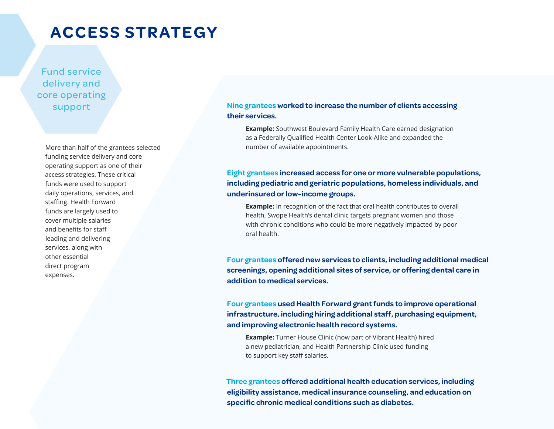### **ACCESS STRATEGY**

Fund service delivery and core operating support

> More than half of the grantees selected funding service delivery and core operating support as one of their access strategies. These critical funds were used to support daily operations, services, and staffing. Health Forward funds are largely used to cover multiple salaries and benefits for staff leading and delivering services, along with other essential direct program expenses.

**Nine grantees worked to increase the number of clients accessing their services.**

**Example:** Southwest Boulevard Family Health Care earned designation as a Federally Qualified Health Center Look-Alike and expanded the number of available appointments.

#### **Eight grantees increased access for one or more vulnerable populations, including pediatric and geriatric populations, homeless individuals, and underinsured or low-income groups.**

**Example:** In recognition of the fact that oral health contributes to overall health, Swope Health's dental clinic targets pregnant women and those with chronic conditions who could be more negatively impacted by poor oral health.

**Four grantees offered new services to clients, including additional medical screenings, opening additional sites of service, or offering dental care in addition to medical services.**

**Four grantees used Health Forward grant funds to improve operational infrastructure, including hiring additional staff, purchasing equipment, and improving electronic health record systems.**

**Example:** Turner House Clinic (now part of Vibrant Health) hired a new pediatrician, and Health Partnership Clinic used funding to support key staff salaries.

**Three grantees offered additional health education services, including eligibility assistance, medical insurance counseling, and education on specific chronic medical conditions such as diabetes.**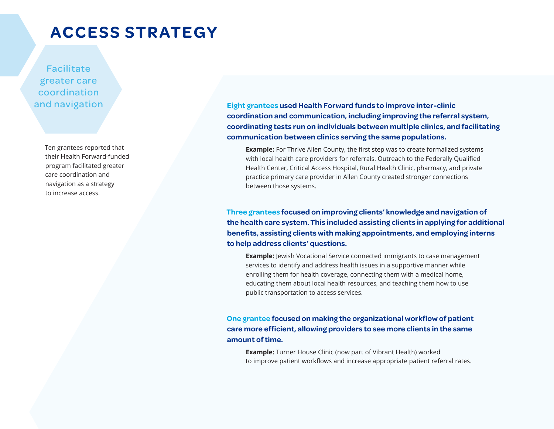### **ACCESS STRATEGY**

Facilitate greater care coordination and navigation

> Ten grantees reported that their Health Forward-funded program facilitated greater care coordination and navigation as a strategy to increase access.

**Eight grantees used Health Forward funds to improve inter-clinic coordination and communication, including improving the referral system, coordinating tests run on individuals between multiple clinics, and facilitating communication between clinics serving the same populations.** 

**Example:** For Thrive Allen County, the first step was to create formalized systems with local health care providers for referrals. Outreach to the Federally Qualified Health Center, Critical Access Hospital, Rural Health Clinic, pharmacy, and private practice primary care provider in Allen County created stronger connections between those systems.

**Three grantees focused on improving clients' knowledge and navigation of the health care system. This included assisting clients in applying for additional benefits, assisting clients with making appointments, and employing interns to help address clients' questions.**

**Example:** Jewish Vocational Service connected immigrants to case management services to identify and address health issues in a supportive manner while enrolling them for health coverage, connecting them with a medical home, educating them about local health resources, and teaching them how to use public transportation to access services.

**One grantee focused on making the organizational workflow of patient care more efficient, allowing providers to see more clients in the same amount of time.**

**Example:** Turner House Clinic (now part of Vibrant Health) worked to improve patient workflows and increase appropriate patient referral rates.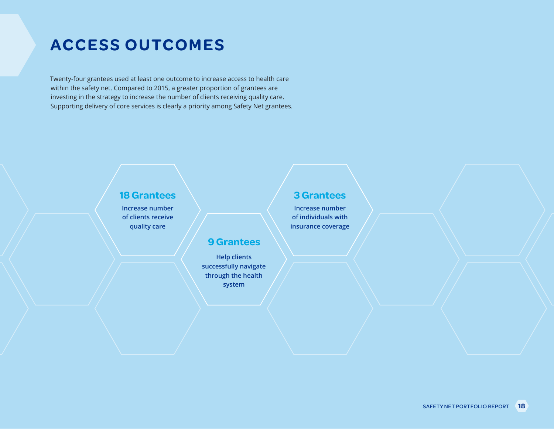Twenty-four grantees used at least one outcome to increase access to health care within the safety net. Compared to 2015, a greater proportion of grantees are investing in the strategy to increase the number of clients receiving quality care. Supporting delivery of core services is clearly a priority among Safety Net grantees.

### **18 Grantees 18 Grantees**

**Increase number of clients receive quality care**

### **Increase number**

**of individuals with insurance coverage**

### **9 Grantees**

**Help clients successfully navigate through the health system**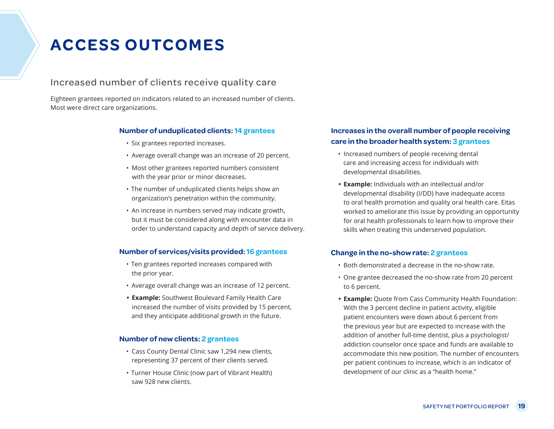#### Increased number of clients receive quality care

Eighteen grantees reported on indicators related to an increased number of clients. Most were direct care organizations.

#### **Number of unduplicated clients: 14 grantees**

- Six grantees reported increases.
- Average overall change was an increase of 20 percent.
- Most other grantees reported numbers consistent with the year prior or minor decreases.
- The number of unduplicated clients helps show an organization's penetration within the community.
- An increase in numbers served may indicate growth, but it must be considered along with encounter data in order to understand capacity and depth of service delivery.

#### **Number of services/visits provided: 16 grantees**

- Ten grantees reported increases compared with the prior year.
- Average overall change was an increase of 12 percent.
- **• Example:** Southwest Boulevard Family Health Care increased the number of visits provided by 15 percent, and they anticipate additional growth in the future.

#### **Number of new clients: 2 grantees**

- Cass County Dental Clinic saw 1,294 new clients, representing 37 percent of their clients served.
- Turner House Clinic (now part of Vibrant Health) saw 928 new clients.

#### **Increases in the overall number of people receiving care in the broader health system: 3 grantees**

- Increased numbers of people receiving dental care and increasing access for individuals with developmental disabilities.
- **• Example:** Individuals with an intellectual and/or developmental disability (I/DD) have inadequate access to oral health promotion and quality oral health care. Eitas worked to ameliorate this issue by providing an opportunity for oral health professionals to learn how to improve their skills when treating this underserved population.

#### **Change in the no-show rate: 2 grantees**

- Both demonstrated a decrease in the no-show rate.
- One grantee decreased the no-show rate from 20 percent to 6 percent.
- **• Example:** Quote from Cass Community Health Foundation: With the 3 percent decline in patient activity, eligible patient encounters were down about 6 percent from the previous year but are expected to increase with the addition of another full-time dentist, plus a psychologist/ addiction counselor once space and funds are available to accommodate this new position. The number of encounters per patient continues to increase, which is an indicator of development of our clinic as a "health home."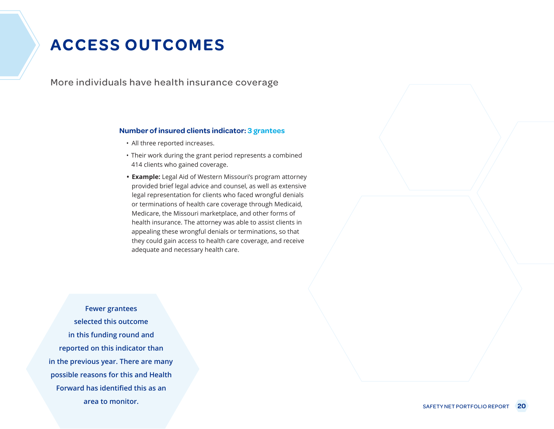More individuals have health insurance coverage

#### **Number of insured clients indicator: 3 grantees**

- All three reported increases.
- Their work during the grant period represents a combined 414 clients who gained coverage.
- **• Example:** Legal Aid of Western Missouri's program attorney provided brief legal advice and counsel, as well as extensive legal representation for clients who faced wrongful denials or terminations of health care coverage through Medicaid, Medicare, the Missouri marketplace, and other forms of health insurance. The attorney was able to assist clients in appealing these wrongful denials or terminations, so that they could gain access to health care coverage, and receive adequate and necessary health care.

**Fewer grantees selected this outcome in this funding round and reported on this indicator than in the previous year. There are many possible reasons for this and Health Forward has identified this as an area to monitor.**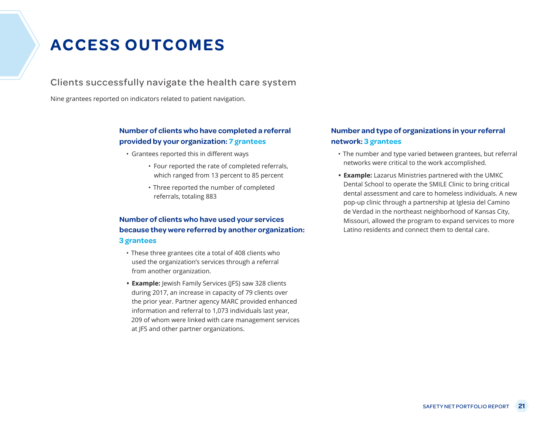Clients successfully navigate the health care system

Nine grantees reported on indicators related to patient navigation.

#### **Number of clients who have completed a referral provided by your organization: 7 grantees**

- Grantees reported this in different ways
	- Four reported the rate of completed referrals, which ranged from 13 percent to 85 percent
	- Three reported the number of completed referrals, totaling 883

#### **Number of clients who have used your services because they were referred by another organization: 3 grantees**

- These three grantees cite a total of 408 clients who used the organization's services through a referral from another organization.
- **• Example:** Jewish Family Services (JFS) saw 328 clients during 2017, an increase in capacity of 79 clients over the prior year. Partner agency MARC provided enhanced information and referral to 1,073 individuals last year, 209 of whom were linked with care management services at JFS and other partner organizations.

#### **Number and type of organizations in your referral network: 3 grantees**

- The number and type varied between grantees, but referral networks were critical to the work accomplished.
- **• Example:** Lazarus Ministries partnered with the UMKC Dental School to operate the SMILE Clinic to bring critical dental assessment and care to homeless individuals. A new pop-up clinic through a partnership at Iglesia del Camino de Verdad in the northeast neighborhood of Kansas City, Missouri, allowed the program to expand services to more Latino residents and connect them to dental care.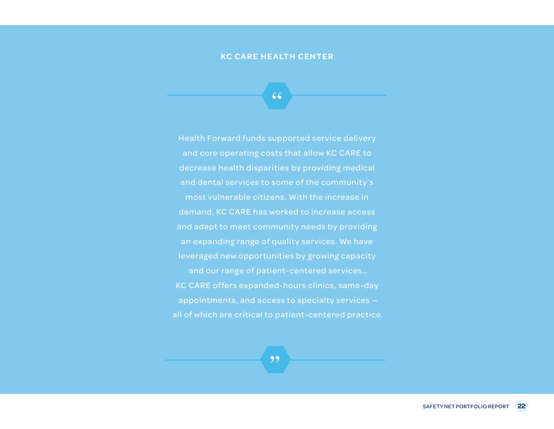#### **KC CARE HEALTH CENTER**

**"**

Health Forward funds supported service delivery and core operating costs that allow KC CARE to decrease health disparities by providing medical and dental services to some of the community's most vulnerable citizens. With the increase in demand, KC CARE has worked to increase access and adapt to meet community needs by providing an expanding range of quality services. We have leveraged new opportunities by growing capacity and our range of patient-centered services… KC CARE offers expanded-hours clinics, same-day appointments, and access to specialty services all of which are critical to patient-centered practice.

**"**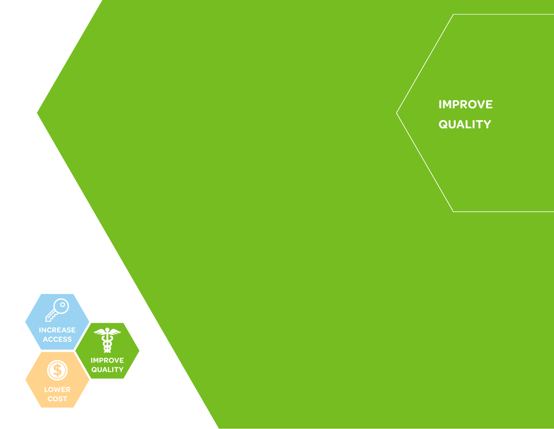

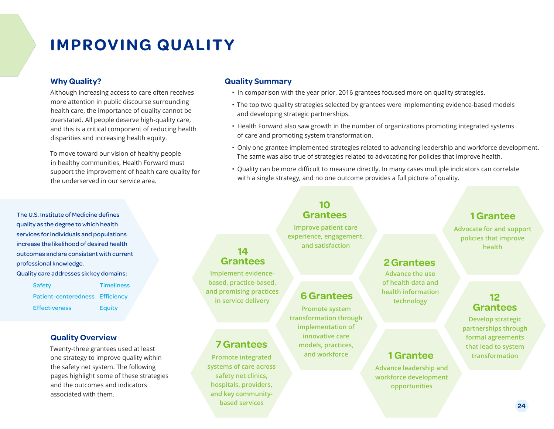## **IMPROVING QUALITY**

#### **Why Quality?**

Although increasing access to care often receives more attention in public discourse surrounding health care, the importance of quality cannot be overstated. All people deserve high-quality care, and this is a critical component of reducing health disparities and increasing health equity.

To move toward our vision of healthy people in healthy communities, Health Forward must support the improvement of health care quality for the underserved in our service area.

The U.S. Institute of Medicine defines quality as the degree to which health services for individuals and populations increase the likelihood of desired health outcomes and are consistent with current professional knowledge. Quality care addresses six key domains:

Safety **Timeliness** Patient-centeredness Efficiency Effectiveness Equity

#### **Quality Overview**

Twenty-three grantees used at least one strategy to improve quality within the safety net system. The following pages highlight some of these strategies and the outcomes and indicators associated with them.

#### **Quality Summary**

- In comparison with the year prior, 2016 grantees focused more on quality strategies.
- The top two quality strategies selected by grantees were implementing evidence-based models and developing strategic partnerships.
- Health Forward also saw growth in the number of organizations promoting integrated systems of care and promoting system transformation.
- Only one grantee implemented strategies related to advancing leadership and workforce development. The same was also true of strategies related to advocating for policies that improve health.
- Quality can be more difficult to measure directly. In many cases multiple indicators can correlate with a single strategy, and no one outcome provides a full picture of quality.

## **10**

**Improve patient care experience, engagement, and satisfaction**

**Promote system transformation through implementation of innovative care models, practices, and workforce**

**6 Grantees**

### **2 Grantees**

**Advance the use of health data and health information technology**

**Advance leadership and workforce development opportunities**

**1 Grantee**

#### **12 Grantees**

**Advocate for and support policies that improve health**

**1 Grantee** 

**Develop strategic partnerships through formal agreements that lead to system transformation**

### **7 Grantees**

**Implement evidencebased, practice-based, and promising practices in service delivery**

**14 Grantees**

**Promote integrated systems of care across safety net clinics, hospitals, providers, and key communitybased services**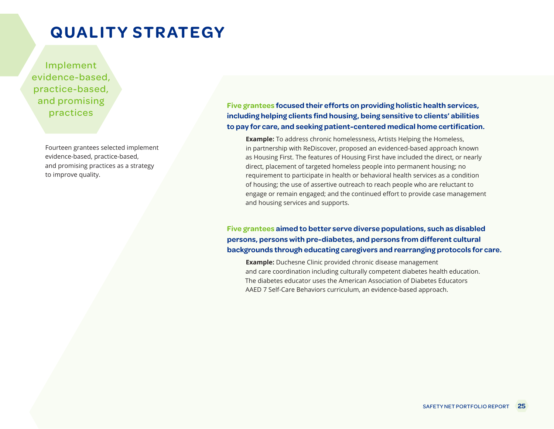Implement evidence-based, practice-based, and promising practices

> Fourteen grantees selected implement evidence-based, practice-based, and promising practices as a strategy to improve quality.

**Five grantees focused their efforts on providing holistic health services, including helping clients find housing, being sensitive to clients' abilities to pay for care, and seeking patient-centered medical home certification.** 

**Example:** To address chronic homelessness, Artists Helping the Homeless, in partnership with ReDiscover, proposed an evidenced-based approach known as Housing First. The features of Housing First have included the direct, or nearly direct, placement of targeted homeless people into permanent housing; no requirement to participate in health or behavioral health services as a condition of housing; the use of assertive outreach to reach people who are reluctant to engage or remain engaged; and the continued effort to provide case management and housing services and supports.

**Five grantees aimed to better serve diverse populations, such as disabled persons, persons with pre-diabetes, and persons from different cultural backgrounds through educating caregivers and rearranging protocols for care.**

**Example:** Duchesne Clinic provided chronic disease management and care coordination including culturally competent diabetes health education. The diabetes educator uses the American Association of Diabetes Educators AAED 7 Self-Care Behaviors curriculum, an evidence-based approach.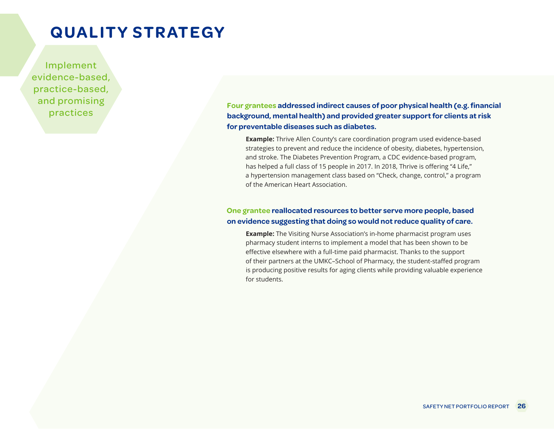Implement evidence-based, practice-based, and promising practices

**Four grantees addressed indirect causes of poor physical health (e.g. financial background, mental health) and provided greater support for clients at risk for preventable diseases such as diabetes.**

**Example:** Thrive Allen County's care coordination program used evidence-based strategies to prevent and reduce the incidence of obesity, diabetes, hypertension, and stroke. The Diabetes Prevention Program, a CDC evidence-based program, has helped a full class of 15 people in 2017. In 2018, Thrive is offering "4 Life," a hypertension management class based on "Check, change, control," a program of the American Heart Association.

#### **One grantee reallocated resources to better serve more people, based on evidence suggesting that doing so would not reduce quality of care.**

**Example:** The Visiting Nurse Association's in-home pharmacist program uses pharmacy student interns to implement a model that has been shown to be effective elsewhere with a full-time paid pharmacist. Thanks to the support of their partners at the UMKC–School of Pharmacy, the student-staffed program is producing positive results for aging clients while providing valuable experience for students.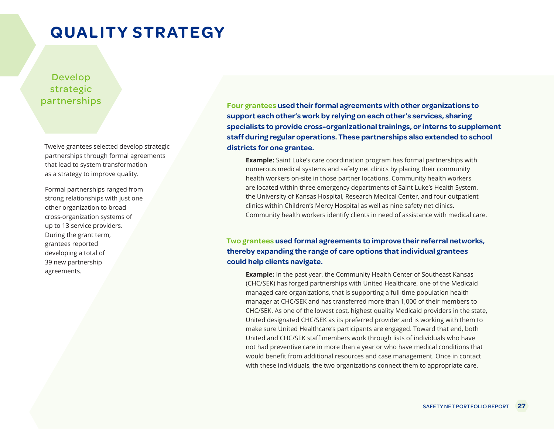### Develop strategic partnerships

Twelve grantees selected develop strategic partnerships through formal agreements that lead to system transformation as a strategy to improve quality.

Formal partnerships ranged from strong relationships with just one other organization to broad cross-organization systems of up to 13 service providers. During the grant term, grantees reported developing a total of 39 new partnership agreements.

**Four grantees used their formal agreements with other organizations to support each other's work by relying on each other's services, sharing specialists to provide cross-organizational trainings, or interns to supplement staff during regular operations. These partnerships also extended to school districts for one grantee.**

**Example:** Saint Luke's care coordination program has formal partnerships with numerous medical systems and safety net clinics by placing their community health workers on-site in those partner locations. Community health workers are located within three emergency departments of Saint Luke's Health System, the University of Kansas Hospital, Research Medical Center, and four outpatient clinics within Children's Mercy Hospital as well as nine safety net clinics. Community health workers identify clients in need of assistance with medical care.

#### **Two grantees used formal agreements to improve their referral networks, thereby expanding the range of care options that individual grantees could help clients navigate.**

**Example:** In the past year, the Community Health Center of Southeast Kansas (CHC/SEK) has forged partnerships with United Healthcare, one of the Medicaid managed care organizations, that is supporting a full-time population health manager at CHC/SEK and has transferred more than 1,000 of their members to CHC/SEK. As one of the lowest cost, highest quality Medicaid providers in the state, United designated CHC/SEK as its preferred provider and is working with them to make sure United Healthcare's participants are engaged. Toward that end, both United and CHC/SEK staff members work through lists of individuals who have not had preventive care in more than a year or who have medical conditions that would benefit from additional resources and case management. Once in contact with these individuals, the two organizations connect them to appropriate care.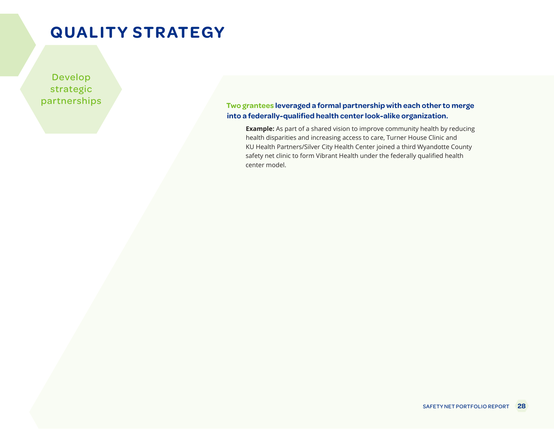Develop strategic partnerships

**Two grantees leveraged a formal partnership with each other to merge into a federally-qualified health center look-alike organization.**

**Example:** As part of a shared vision to improve community health by reducing health disparities and increasing access to care, Turner House Clinic and KU Health Partners/Silver City Health Center joined a third Wyandotte County safety net clinic to form Vibrant Health under the federally qualified health center model.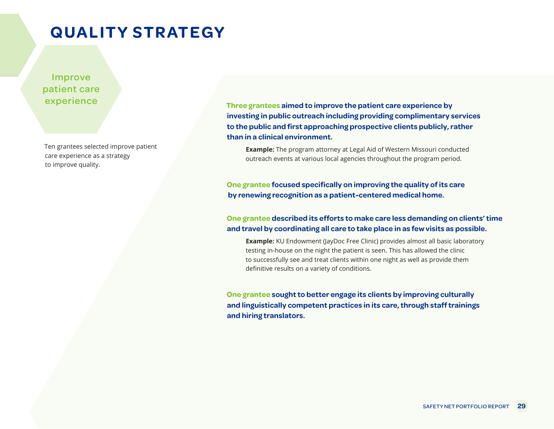Improve patient care experience

Ten grantees selected improve patient care experience as a strategy to improve quality.

**Three grantees aimed to improve the patient care experience by investing in public outreach including providing complimentary services to the public and first approaching prospective clients publicly, rather than in a clinical environment.**

**Example:** The program attorney at Legal Aid of Western Missouri conducted outreach events at various local agencies throughout the program period.

**One grantee focused specifically on improving the quality of its care by renewing recognition as a patient-centered medical home.**

#### **One grantee described its efforts to make care less demanding on clients' time and travel by coordinating all care to take place in as few visits as possible.**

**Example:** KU Endowment (JayDoc Free Clinic) provides almost all basic laboratory testing in-house on the night the patient is seen. This has allowed the clinic to successfully see and treat clients within one night as well as provide them definitive results on a variety of conditions.

**One grantee sought to better engage its clients by improving culturally and linguistically competent practices in its care, through staff trainings and hiring translators.**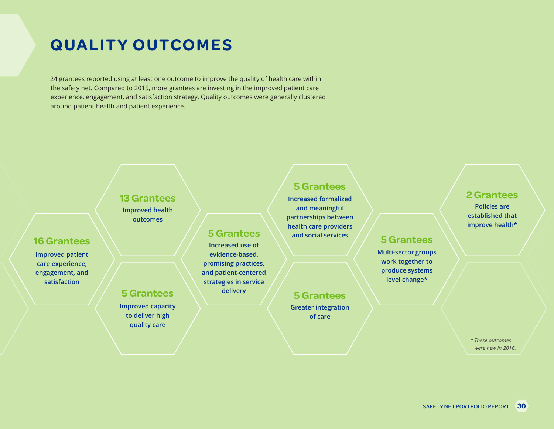24 grantees reported using at least one outcome to improve the quality of health care within the safety net. Compared to 2015, more grantees are investing in the improved patient care experience, engagement, and satisfaction strategy. Quality outcomes were generally clustered around patient health and patient experience.

### **Improved health 13 Grantees**

**Improved capacity to deliver high quality care**

### **16 Grantees**

**Improved patient care experience, engagement, and satisfaction**

# **outcomes**

**Increased use of evidence-based, promising practices, and patient-centered strategies in service delivery 5 Grantees 5 Grantees**

#### **5 Grantees**

**Increased formalized and meaningful partnerships between health care providers and social services 5 Grantees 5 Grantees**

**Multi-sector groups work together to produce systems level change\***

**Greater integration of care**

#### **2 Grantees**

**Policies are established that improve health\***

#### *\* These outcomes were new in 2016.*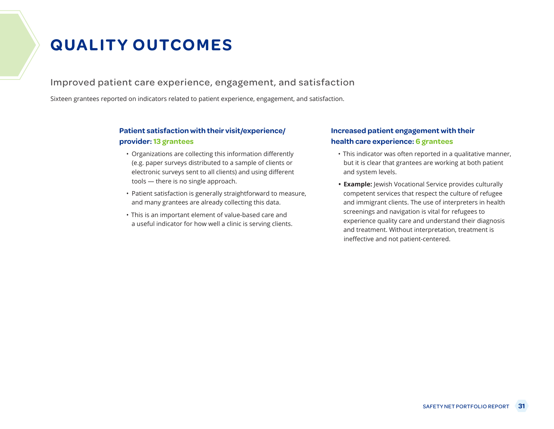### Improved patient care experience, engagement, and satisfaction

Sixteen grantees reported on indicators related to patient experience, engagement, and satisfaction.

#### **Patient satisfaction with their visit/experience/ provider: 13 grantees**

- Organizations are collecting this information differently (e.g. paper surveys distributed to a sample of clients or electronic surveys sent to all clients) and using different tools — there is no single approach.
- Patient satisfaction is generally straightforward to measure, and many grantees are already collecting this data.
- This is an important element of value-based care and a useful indicator for how well a clinic is serving clients.

#### **Increased patient engagement with their health care experience: 6 grantees**

- This indicator was often reported in a qualitative manner, but it is clear that grantees are working at both patient and system levels.
- **• Example:** Jewish Vocational Service provides culturally competent services that respect the culture of refugee and immigrant clients. The use of interpreters in health screenings and navigation is vital for refugees to experience quality care and understand their diagnosis and treatment. Without interpretation, treatment is ineffective and not patient-centered.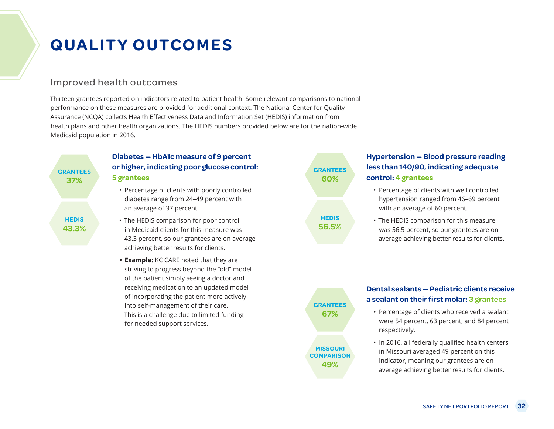#### Improved health outcomes

Thirteen grantees reported on indicators related to patient health. Some relevant comparisons to national performance on these measures are provided for additional context. The National Center for Quality Assurance (NCQA) collects Health Effectiveness Data and Information Set (HEDIS) information from health plans and other health organizations. The HEDIS numbers provided below are for the nation-wide Medicaid population in 2016.

#### **Diabetes — HbA1c measure of 9 percent or higher, indicating poor glucose control: GRANTEES GRANTEES 5 grantees 37% 5** grantees **60%**

- Percentage of clients with poorly controlled diabetes range from 24–49 percent with an average of 37 percent.
- The HEDIS comparison for poor control **HEDIS HEDIS** in Medicaid clients for this measure was **43.3% 56.5%** 43.3 percent, so our grantees are on average achieving better results for clients.
	- **• Example:** KC CARE noted that they are striving to progress beyond the "old" model of the patient simply seeing a doctor and receiving medication to an updated model of incorporating the patient more actively into self-management of their care. This is a challenge due to limited funding for needed support services.

#### **Hypertension — Blood pressure reading less than 140/90, indicating adequate control: 4 grantees**

- Percentage of clients with well controlled hypertension ranged from 46–69 percent with an average of 60 percent.
- The HEDIS comparison for this measure was 56.5 percent, so our grantees are on average achieving better results for clients.



#### **Dental sealants — Pediatric clients receive a sealant on their first molar: 3 grantees**

- Percentage of clients who received a sealant were 54 percent, 63 percent, and 84 percent respectively.
- In 2016, all federally qualified health centers in Missouri averaged 49 percent on this indicator, meaning our grantees are on average achieving better results for clients.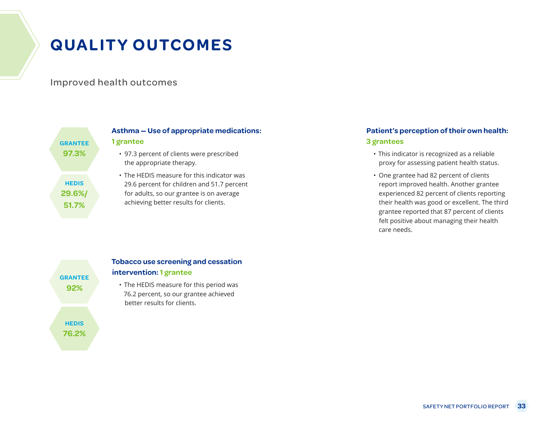Improved health outcomes

| <b>GRANTEE</b>                  | Asthma – Use of appropriate<br>1 grantee                                                                                                    |
|---------------------------------|---------------------------------------------------------------------------------------------------------------------------------------------|
| 97.3%                           | • 97.3 percent of clients were pr<br>the appropriate therapy.                                                                               |
| <b>HEDIS</b><br>29.6%/<br>51.7% | • The HEDIS measure for this in<br>29.6 percent for children and !<br>for adults, so our grantee is or<br>achieving better results for clie |

## **A** medications:

rescribed

dicator was 51.7 percent n average ents.

#### **Patient's perception of their own health: 3 grantees**

- This indicator is recognized as a reliable proxy for assessing patient health status.
- One grantee had 82 percent of clients report improved health. Another grantee experienced 82 percent of clients reporting their health was good or excellent. The third grantee reported that 87 percent of clients felt positive about managing their health care needs.



#### **Tobacco use screening and cessation intervention: 1 grantee**

• The HEDIS measure for this period was 76.2 percent, so our grantee achieved better results for clients.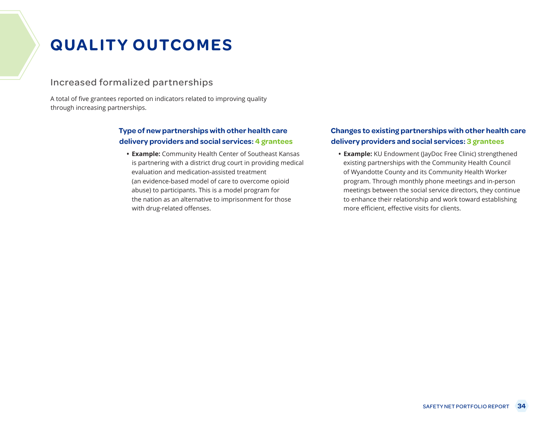### Increased formalized partnerships

A total of five grantees reported on indicators related to improving quality through increasing partnerships.

#### **Type of new partnerships with other health care delivery providers and social services: 4 grantees**

**• Example:** Community Health Center of Southeast Kansas is partnering with a district drug court in providing medical evaluation and medication-assisted treatment (an evidence-based model of care to overcome opioid abuse) to participants. This is a model program for the nation as an alternative to imprisonment for those with drug-related offenses.

#### **Changes to existing partnerships with other health care delivery providers and social services: 3 grantees**

**• Example:** KU Endowment (JayDoc Free Clinic) strengthened existing partnerships with the Community Health Council of Wyandotte County and its Community Health Worker program. Through monthly phone meetings and in-person meetings between the social service directors, they continue to enhance their relationship and work toward establishing more efficient, effective visits for clients.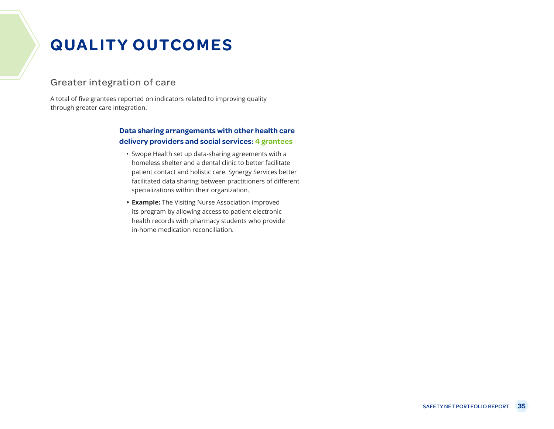#### Greater integration of care

A total of five grantees reported on indicators related to improving quality through greater care integration.

#### **Data sharing arrangements with other health care delivery providers and social services: 4 grantees**

- Swope Health set up data-sharing agreements with a homeless shelter and a dental clinic to better facilitate patient contact and holistic care. Synergy Services better facilitated data sharing between practitioners of different specializations within their organization.
- **• Example:** The Visiting Nurse Association improved its program by allowing access to patient electronic health records with pharmacy students who provide in-home medication reconciliation.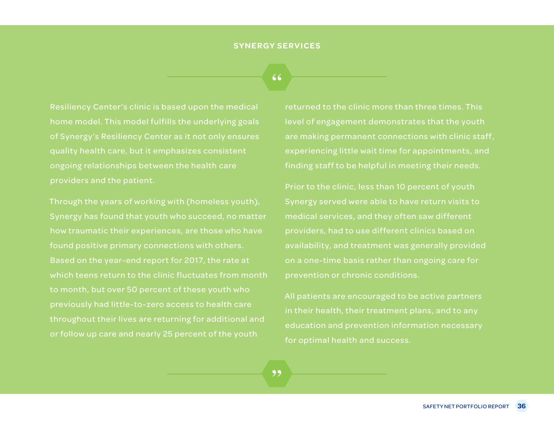### **"**

Resiliency Center's clinic is based upon the medical home model. This model fulfills the underlying goals of Synergy's Resiliency Center as it not only ensures quality health care, but it emphasizes consistent ongoing relationships between the health care providers and the patient.

Through the years of working with (homeless youth), Synergy has found that youth who succeed, no matter how traumatic their experiences, are those who have found positive primary connections with others. Based on the year-end report for 2017, the rate at which teens return to the clinic fluctuates from month to month, but over 50 percent of these youth who previously had little-to-zero access to health care throughout their lives are returning for additional and or follow up care and nearly 25 percent of the youth

returned to the clinic more than three times. This level of engagement demonstrates that the youth are making permanent connections with clinic staff , experiencing little wait time for appointments, and finding staff to be helpful in meeting their needs.

Prior to the clinic, less than 10 percent of youth Synergy served were able to have return visits to medical services, and they often saw different providers, had to use different clinics based on availability, and treatment was generally provided on a one-time basis rather than ongoing care for prevention or chronic conditions.

All patients are encouraged to be active partners in their health, their treatment plans, and to any education and prevention information necessary for optimal health and success.

**"**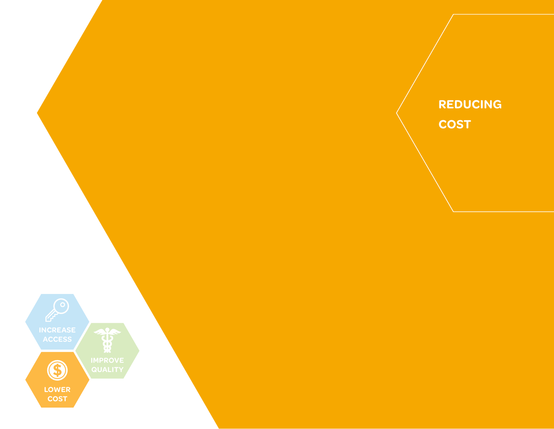

**REDUCING COST**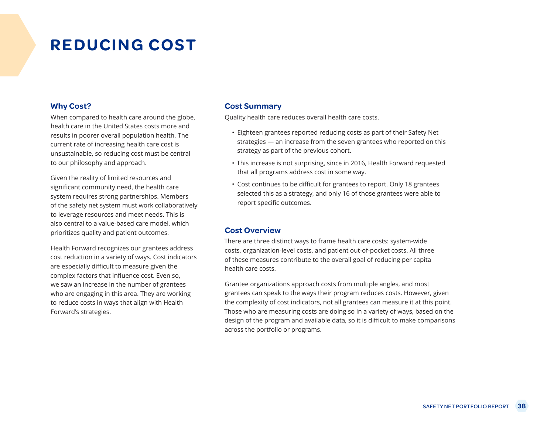# **REDUCING COST**

#### **Why Cost?**

When compared to health care around the globe, health care in the United States costs more and results in poorer overall population health. The current rate of increasing health care cost is unsustainable, so reducing cost must be central to our philosophy and approach.

Given the reality of limited resources and significant community need, the health care system requires strong partnerships. Members of the safety net system must work collaboratively to leverage resources and meet needs. This is also central to a value-based care model, which prioritizes quality and patient outcomes.

Health Forward recognizes our grantees address cost reduction in a variety of ways. Cost indicators are especially difficult to measure given the complex factors that influence cost. Even so, we saw an increase in the number of grantees who are engaging in this area. They are working to reduce costs in ways that align with Health Forward's strategies.

#### **Cost Summary**

Quality health care reduces overall health care costs.

- Eighteen grantees reported reducing costs as part of their Safety Net strategies — an increase from the seven grantees who reported on this strategy as part of the previous cohort.
- This increase is not surprising, since in 2016, Health Forward requested that all programs address cost in some way.
- Cost continues to be difficult for grantees to report. Only 18 grantees selected this as a strategy, and only 16 of those grantees were able to report specific outcomes.

### **Cost Overview**

There are three distinct ways to frame health care costs: system-wide costs, organization-level costs, and patient out-of-pocket costs. All three of these measures contribute to the overall goal of reducing per capita health care costs.

Grantee organizations approach costs from multiple angles, and most grantees can speak to the ways their program reduces costs. However, given the complexity of cost indicators, not all grantees can measure it at this point. Those who are measuring costs are doing so in a variety of ways, based on the design of the program and available data, so it is difficult to make comparisons across the portfolio or programs.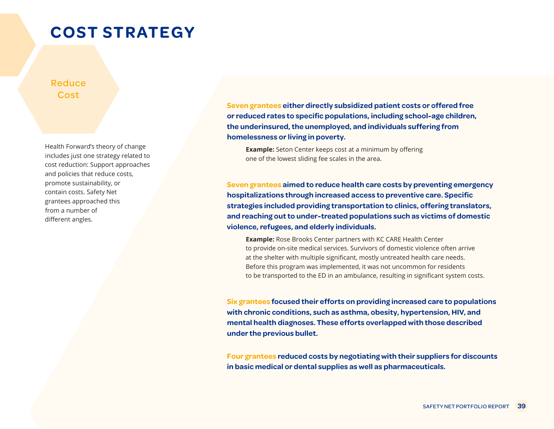# **COST STRATEGY**

### Reduce Cost

Health Forward's theory of change includes just one strategy related to cost reduction: Support approaches and policies that reduce costs, promote sustainability, or contain costs. Safety Net grantees approached this from a number of different angles.

**Seven grantees either directly subsidized patient costs or offered free or reduced rates to specific populations, including school-age children, the underinsured, the unemployed, and individuals suffering from homelessness or living in poverty.**

**Example:** Seton Center keeps cost at a minimum by offering one of the lowest sliding fee scales in the area.

**Seven grantees aimed to reduce health care costs by preventing emergency hospitalizations through increased access to preventive care. Specific strategies included providing transportation to clinics, offering translators, and reaching out to under-treated populations such as victims of domestic violence, refugees, and elderly individuals.**

**Example:** Rose Brooks Center partners with KC CARE Health Center to provide on-site medical services. Survivors of domestic violence often arrive at the shelter with multiple significant, mostly untreated health care needs. Before this program was implemented, it was not uncommon for residents to be transported to the ED in an ambulance, resulting in significant system costs.

**Six grantees focused their efforts on providing increased care to populations with chronic conditions, such as asthma, obesity, hypertension, HIV, and mental health diagnoses. These efforts overlapped with those described under the previous bullet.**

**Four grantees reduced costs by negotiating with their suppliers for discounts in basic medical or dental supplies as well as pharmaceuticals.**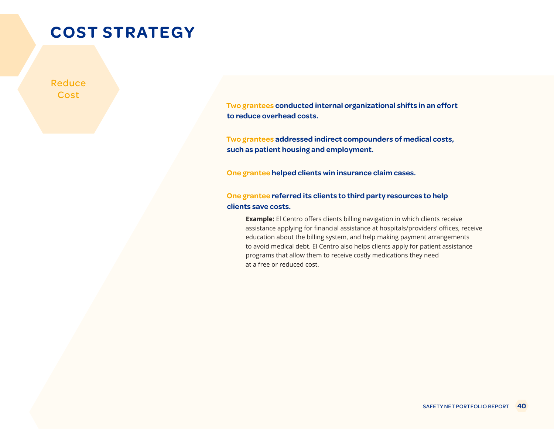# **COST STRATEGY**

Reduce **Cost** 

> **Two grantees conducted internal organizational shifts in an effort to reduce overhead costs.**

**Two grantees addressed indirect compounders of medical costs, such as patient housing and employment.**

**One grantee helped clients win insurance claim cases.**

### **One grantee referred its clients to third party resources to help clients save costs.**

**Example:** El Centro offers clients billing navigation in which clients receive assistance applying for financial assistance at hospitals/providers' offices, receive education about the billing system, and help making payment arrangements to avoid medical debt. El Centro also helps clients apply for patient assistance programs that allow them to receive costly medications they need at a free or reduced cost.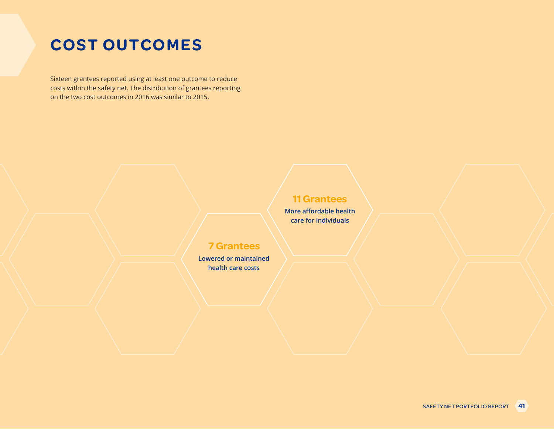# **COST OUTCOMES**

Sixteen grantees reported using at least one outcome to reduce costs within the safety net. The distribution of grantees reporting on the two cost outcomes in 2016 was similar to 2015.

### **11 Grantees**

**More affordable health care for individuals**

### **7 Grantees**

**Lowered or maintained health care costs**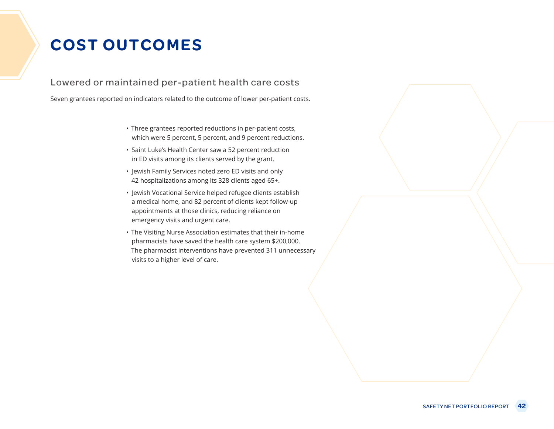# **COST OUTCOMES**

Lowered or maintained per-patient health care costs

Seven grantees reported on indicators related to the outcome of lower per-patient costs.

- Three grantees reported reductions in per-patient costs, which were 5 percent, 5 percent, and 9 percent reductions.
- Saint Luke's Health Center saw a 52 percent reduction in ED visits among its clients served by the grant.
- Jewish Family Services noted zero ED visits and only 42 hospitalizations among its 328 clients aged 65+.
- Jewish Vocational Service helped refugee clients establish a medical home, and 82 percent of clients kept follow-up appointments at those clinics, reducing reliance on emergency visits and urgent care.
- The Visiting Nurse Association estimates that their in-home pharmacists have saved the health care system \$200,000. The pharmacist interventions have prevented 311 unnecessary visits to a higher level of care.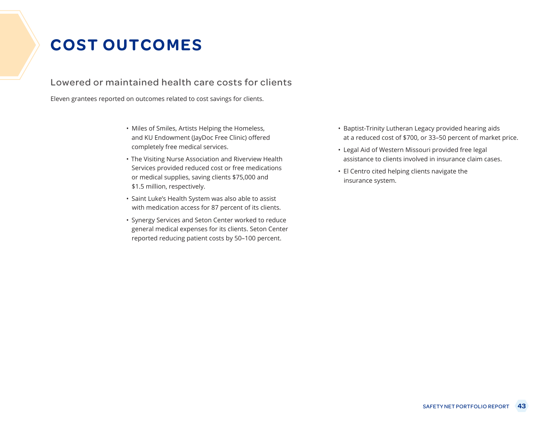# **COST OUTCOMES**

### Lowered or maintained health care costs for clients

Eleven grantees reported on outcomes related to cost savings for clients.

- Miles of Smiles, Artists Helping the Homeless, and KU Endowment (JayDoc Free Clinic) offered completely free medical services.
- The Visiting Nurse Association and Riverview Health Services provided reduced cost or free medications or medical supplies, saving clients \$75,000 and \$1.5 million, respectively.
- Saint Luke's Health System was also able to assist with medication access for 87 percent of its clients.
- Synergy Services and Seton Center worked to reduce general medical expenses for its clients. Seton Center reported reducing patient costs by 50–100 percent.
- Baptist-Trinity Lutheran Legacy provided hearing aids at a reduced cost of \$700, or 33–50 percent of market price.
- Legal Aid of Western Missouri provided free legal assistance to clients involved in insurance claim cases.
- El Centro cited helping clients navigate the insurance system.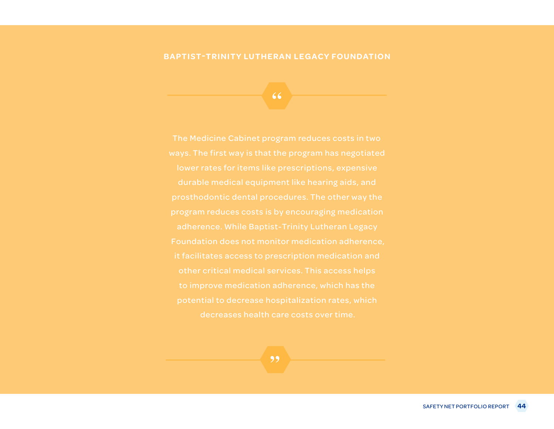### **BAPTIST-TRINITY LUTHERAN LEGACY FOUNDATION**

**"**

Foundation does not monitor medication adherence, other critical medical services. This access helps to improve medication adherence, which has the potential to decrease hospitalization rates, which decreases health care costs over time.

**"**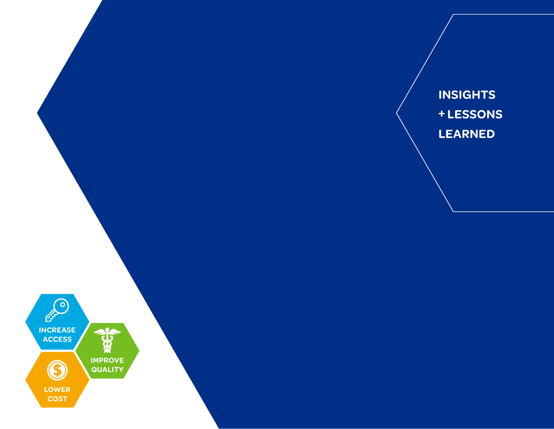**INSIGHTS + LESSONS LEARNED**

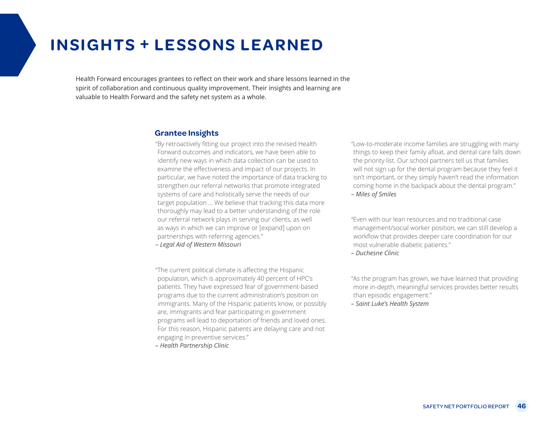## **INSIGHTS + LESSONS LEARNED**

Health Forward encourages grantees to reflect on their work and share lessons learned in the spirit of collaboration and continuous quality improvement. Their insights and learning are valuable to Health Forward and the safety net system as a whole.

#### **Grantee Insights**

"By retroactively fitting our project into the revised Health Forward outcomes and indicators, we have been able to identify new ways in which data collection can be used to examine the effectiveness and impact of our projects. In particular, we have noted the importance of data tracking to strengthen our referral networks that promote integrated systems of care and holistically serve the needs of our target population ... We believe that tracking this data more thoroughly may lead to a better understanding of the role our referral network plays in serving our clients, as well as ways in which we can improve or [expand] upon on partnerships with referring agencies." *– Legal Aid of Western Missouri*

"The current political climate is affecting the Hispanic population, which is approximately 40 percent of HPC's patients. They have expressed fear of government-based programs due to the current administration's position on immigrants. Many of the Hispanic patients know, or possibly are, immigrants and fear participating in government programs will lead to deportation of friends and loved ones. For this reason, Hispanic patients are delaying care and not engaging in preventive services."

*– Health Partnership Clinic*

"Low-to-moderate income families are struggling with many things to keep their family afloat, and dental care falls down the priority list. Our school partners tell us that families will not sign up for the dental program because they feel it isn't important, or they simply haven't read the information coming home in the backpack about the dental program." *– Miles of Smiles*

"Even with our lean resources and no traditional case management/social worker position, we can still develop a workflow that provides deeper care coordination for our most vulnerable diabetic patients."

*– Duchesne Clinic*

"As the program has grown, we have learned that providing more in-depth, meaningful services provides better results than episodic engagement."

*– Saint Luke's Health System*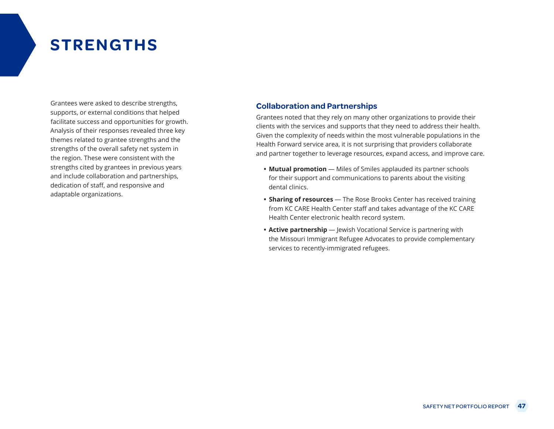# **STRENGTHS**

Grantees were asked to describe strengths, supports, or external conditions that helped facilitate success and opportunities for growth. Analysis of their responses revealed three key themes related to grantee strengths and the strengths of the overall safety net system in the region. These were consistent with the strengths cited by grantees in previous years and include collaboration and partnerships, dedication of staff, and responsive and adaptable organizations.

### **Collaboration and Partnerships**

Grantees noted that they rely on many other organizations to provide their clients with the services and supports that they need to address their health. Given the complexity of needs within the most vulnerable populations in the Health Forward service area, it is not surprising that providers collaborate and partner together to leverage resources, expand access, and improve care.

- **• Mutual promotion** Miles of Smiles applauded its partner schools for their support and communications to parents about the visiting dental clinics.
- **• Sharing of resources** The Rose Brooks Center has received training from KC CARE Health Center staff and takes advantage of the KC CARE Health Center electronic health record system.
- **• Active partnership** Jewish Vocational Service is partnering with the Missouri Immigrant Refugee Advocates to provide complementary services to recently-immigrated refugees.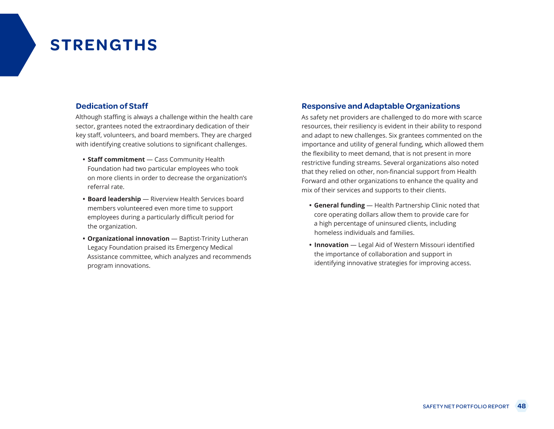# **STRENGTHS**

### **Dedication of Staff**

Although staffing is always a challenge within the health care sector, grantees noted the extraordinary dedication of their key staff, volunteers, and board members. They are charged with identifying creative solutions to significant challenges.

- **• Staff commitment** Cass Community Health Foundation had two particular employees who took on more clients in order to decrease the organization's referral rate.
- **• Board leadership** Riverview Health Services board members volunteered even more time to support employees during a particularly difficult period for the organization.
- **• Organizational innovation** Baptist-Trinity Lutheran Legacy Foundation praised its Emergency Medical Assistance committee, which analyzes and recommends program innovations.

### **Responsive and Adaptable Organizations**

As safety net providers are challenged to do more with scarce resources, their resiliency is evident in their ability to respond and adapt to new challenges. Six grantees commented on the importance and utility of general funding, which allowed them the flexibility to meet demand, that is not present in more restrictive funding streams. Several organizations also noted that they relied on other, non-financial support from Health Forward and other organizations to enhance the quality and mix of their services and supports to their clients.

- **• General funding** Health Partnership Clinic noted that core operating dollars allow them to provide care for a high percentage of uninsured clients, including homeless individuals and families.
- **• Innovation** Legal Aid of Western Missouri identified the importance of collaboration and support in identifying innovative strategies for improving access.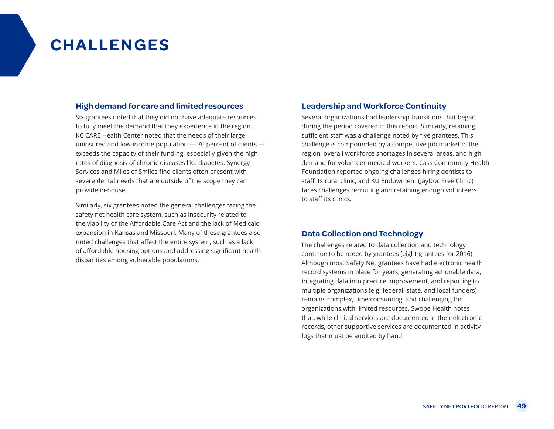# **CHALLENGES**

#### **High demand for care and limited resources**

Six grantees noted that they did not have adequate resources to fully meet the demand that they experience in the region. KC CARE Health Center noted that the needs of their large uninsured and low-income population — 70 percent of clients exceeds the capacity of their funding, especially given the high rates of diagnosis of chronic diseases like diabetes. Synergy Services and Miles of Smiles find clients often present with severe dental needs that are outside of the scope they can provide in-house.

Similarly, six grantees noted the general challenges facing the safety net health care system, such as insecurity related to the viability of the Affordable Care Act and the lack of Medicaid expansion in Kansas and Missouri. Many of these grantees also noted challenges that affect the entire system, such as a lack of affordable housing options and addressing significant health disparities among vulnerable populations.

#### **Leadership and Workforce Continuity**

Several organizations had leadership transitions that began during the period covered in this report. Similarly, retaining sufficient staff was a challenge noted by five grantees. This challenge is compounded by a competitive job market in the region, overall workforce shortages in several areas, and high demand for volunteer medical workers. Cass Community Health Foundation reported ongoing challenges hiring dentists to staff its rural clinic, and KU Endowment (JayDoc Free Clinic) faces challenges recruiting and retaining enough volunteers to staff its clinics.

#### **Data Collection and Technology**

The challenges related to data collection and technology continue to be noted by grantees (eight grantees for 2016). Although most Safety Net grantees have had electronic health record systems in place for years, generating actionable data, integrating data into practice improvement, and reporting to multiple organizations (e.g. federal, state, and local funders) remains complex, time consuming, and challenging for organizations with limited resources. Swope Health notes that, while clinical services are documented in their electronic records, other supportive services are documented in activity logs that must be audited by hand.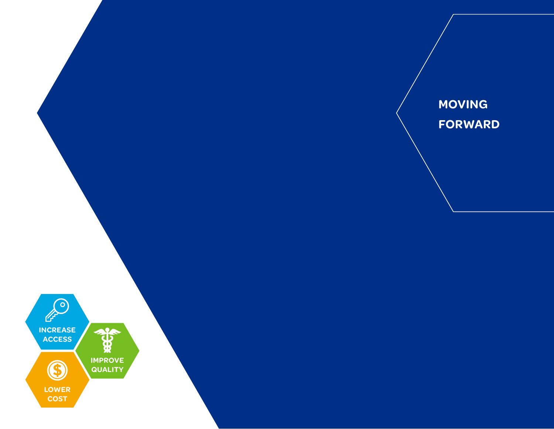

**MOVING FORWARD**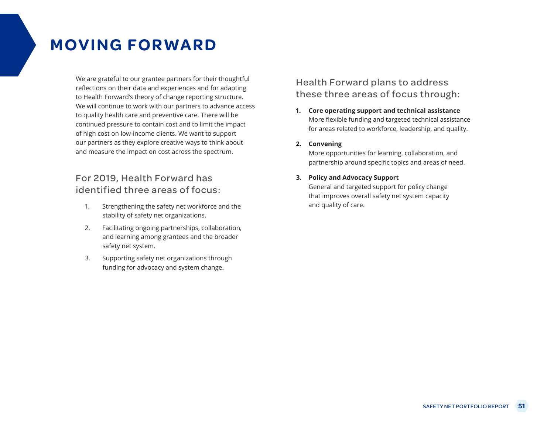# **MOVING FORWARD**

We are grateful to our grantee partners for their thoughtful reflections on their data and experiences and for adapting to Health Forward's theory of change reporting structure. We will continue to work with our partners to advance access to quality health care and preventive care. There will be continued pressure to contain cost and to limit the impact of high cost on low-income clients. We want to support our partners as they explore creative ways to think about and measure the impact on cost across the spectrum.

### For 2019, Health Forward has identified three areas of focus:

- 1. Strengthening the safety net workforce and the stability of safety net organizations.
- 2. Facilitating ongoing partnerships, collaboration, and learning among grantees and the broader safety net system.
- 3. Supporting safety net organizations through funding for advocacy and system change.

### Health Forward plans to address these three areas of focus through:

**1. Core operating support and technical assistance** More flexible funding and targeted technical assistance for areas related to workforce, leadership, and quality.

#### **2. Convening**

More opportunities for learning, collaboration, and partnership around specific topics and areas of need.

#### **3. Policy and Advocacy Support**

General and targeted support for policy change that improves overall safety net system capacity and quality of care.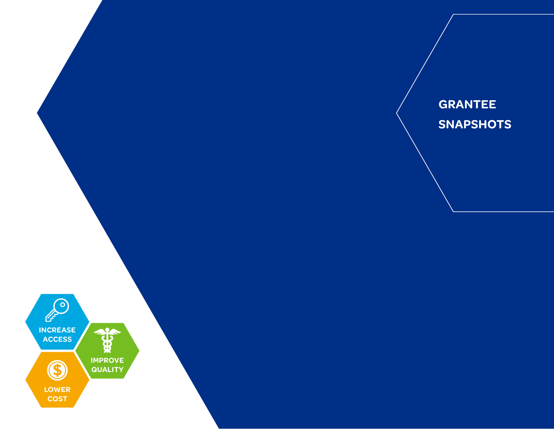

## **GRANTEE SNAPSHOTS**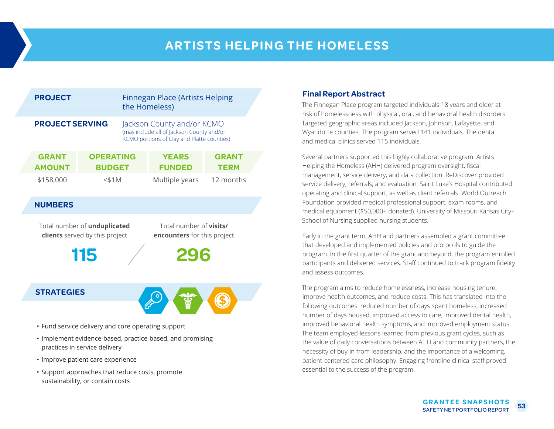## **ARTISTS HELPING THE HOMELESS**

| <b>PROJECT</b>                                                                                                                  |                                   |  | <b>Finnegan Place (Artists Helping</b><br>the Homeless)                                                               |                             |  |
|---------------------------------------------------------------------------------------------------------------------------------|-----------------------------------|--|-----------------------------------------------------------------------------------------------------------------------|-----------------------------|--|
| <b>PROJECT SERVING</b>                                                                                                          |                                   |  | Jackson County and/or KCMO<br>(may include all of Jackson County and/or<br>KCMO portions of Clay and Platte counties) |                             |  |
| <b>GRANT</b><br><b>AMOUNT</b>                                                                                                   | <b>OPERATING</b><br><b>BUDGET</b> |  | <b>YEARS</b><br><b>FUNDED</b>                                                                                         | <b>GRANT</b><br><b>TERM</b> |  |
| \$158,000                                                                                                                       | $<$ \$1 $M$                       |  | Multiple years                                                                                                        | 12 months                   |  |
| <b>NUMBERS</b>                                                                                                                  |                                   |  |                                                                                                                       |                             |  |
| Total number of visits/<br>Total number of unduplicated<br>clients served by this project<br><b>encounters</b> for this project |                                   |  |                                                                                                                       |                             |  |
|                                                                                                                                 | 115                               |  | 296                                                                                                                   |                             |  |
| <b>STRATEGIES</b>                                                                                                               |                                   |  |                                                                                                                       |                             |  |

- Fund service delivery and core operating support
- Implement evidence-based, practice-based, and promising practices in service delivery
- Improve patient care experience
- Support approaches that reduce costs, promote sustainability, or contain costs

### **Final Report Abstract**

The Finnegan Place program targeted individuals 18 years and older at risk of homelessness with physical, oral, and behavioral health disorders. Targeted geographic areas included Jackson, Johnson, Lafayette, and Wyandotte counties. The program served 141 individuals. The dental and medical clinics served 115 individuals.

Several partners supported this highly collaborative program. Artists Helping the Homeless (AHH) delivered program oversight, fiscal management, service delivery, and data collection. ReDiscover provided service delivery, referrals, and evaluation. Saint Luke's Hospital contributed operating and clinical support, as well as client referrals. World Outreach Foundation provided medical professional support, exam rooms, and medical equipment (\$50,000+ donated). University of Missouri Kansas City– School of Nursing supplied nursing students.

Early in the grant term, AHH and partners assembled a grant committee that developed and implemented policies and protocols to guide the program. In the first quarter of the grant and beyond, the program enrolled participants and delivered services. Staff continued to track program fidelity and assess outcomes.

The program aims to reduce homelessness, increase housing tenure, improve health outcomes, and reduce costs. This has translated into the following outcomes: reduced number of days spent homeless, increased number of days housed, improved access to care, improved dental health, improved behavioral health symptoms, and improved employment status. The team employed lessons learned from previous grant cycles, such as the value of daily conversations between AHH and community partners, the necessity of buy-in from leadership, and the importance of a welcoming, patient-centered care philosophy. Engaging frontline clinical staff proved essential to the success of the program.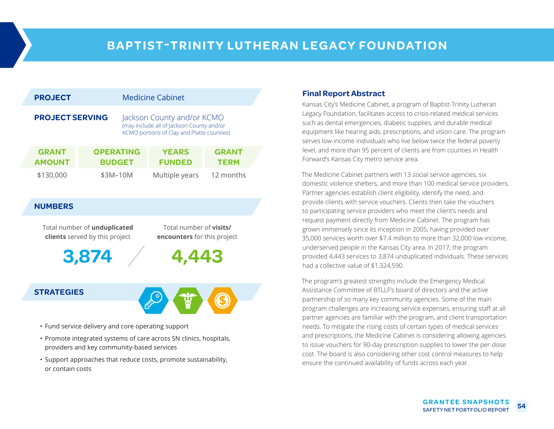| <b>PROJECT</b>                |                                   | <b>Medicine Cabinet</b>                                                                                               |                             |  |
|-------------------------------|-----------------------------------|-----------------------------------------------------------------------------------------------------------------------|-----------------------------|--|
| <b>PROJECT SERVING</b>        |                                   | Jackson County and/or KCMO<br>(may include all of Jackson County and/or<br>KCMO portions of Clay and Platte counties) |                             |  |
| <b>GRANT</b><br><b>AMOUNT</b> | <b>OPERATING</b><br><b>BUDGET</b> | <b>YEARS</b><br><b>FUNDED</b>                                                                                         | <b>GRANT</b><br><b>TERM</b> |  |
| \$130,000                     | \$3M-10M                          | Multiple years                                                                                                        | 12 months                   |  |

### **NUMBERS**

Total number of **unduplicated clients** served by this project

Total number of **visits/ encounters** for this project

**4,443**

**3,874**

### **STRATEGIES**



- Fund service delivery and core operating support
- Promote integrated systems of care across SN clinics, hospitals, providers and key community-based services
- Support approaches that reduce costs, promote sustainability, or contain costs

### **Final Report Abstract**

Kansas City's Medicine Cabinet, a program of Baptist-Trinity Lutheran Legacy Foundation, facilitates access to crisis-related medical services such as dental emergencies, diabetic supplies, and durable medical equipment like hearing aids, prescriptions, and vision care. The program serves low-income individuals who live below twice the federal poverty level, and more than 95 percent of clients are from counties in Health Forward's Kansas City metro service area.

The Medicine Cabinet partners with 13 social service agencies, six domestic violence shelters, and more than 100 medical service providers. Partner agencies establish client eligibility, identify the need, and provide clients with service vouchers. Clients then take the vouchers to participating service providers who meet the client's needs and request payment directly from Medicine Cabinet. The program has grown immensely since its inception in 2005, having provided over 35,000 services worth over \$7.4 million to more than 32,000 low-income, underserved people in the Kansas City area. In 2017, the program provided 4,443 services to 3,874 unduplicated individuals. These services had a collective value of \$1,324,590.

The program's greatest strengths include the Emergency Medical Assistance Committee of BTLLF's board of directors and the active partnership of so many key community agencies. Some of the main program challenges are increasing service expenses, ensuring staff at all partner agencies are familiar with the program, and client transportation needs. To mitigate the rising costs of certain types of medical services and prescriptions, the Medicine Cabinet is considering allowing agencies to issue vouchers for 90-day prescription supplies to lower the per-dose cost. The board is also considering other cost control measures to help ensure the continued availability of funds across each year.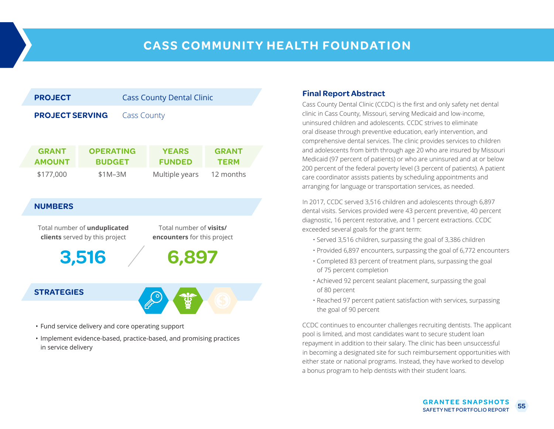

### **STRATEGIES**



- Fund service delivery and core operating support
- Implement evidence-based, practice-based, and promising practices in service delivery

#### **Final Report Abstract**

Cass County Dental Clinic (CCDC) is the first and only safety net dental clinic in Cass County, Missouri, serving Medicaid and low-income, uninsured children and adolescents. CCDC strives to eliminate oral disease through preventive education, early intervention, and comprehensive dental services. The clinic provides services to children and adolescents from birth through age 20 who are insured by Missouri Medicaid (97 percent of patients) or who are uninsured and at or below 200 percent of the federal poverty level (3 percent of patients). A patient care coordinator assists patients by scheduling appointments and arranging for language or transportation services, as needed.

In 2017, CCDC served 3,516 children and adolescents through 6,897 dental visits. Services provided were 43 percent preventive, 40 percent diagnostic, 16 percent restorative, and 1 percent extractions. CCDC exceeded several goals for the grant term:

- Served 3,516 children, surpassing the goal of 3,386 children
- Provided 6,897 encounters, surpassing the goal of 6,772 encounters
- Completed 83 percent of treatment plans, surpassing the goal of 75 percent completion
- Achieved 92 percent sealant placement, surpassing the goal of 80 percent
- Reached 97 percent patient satisfaction with services, surpassing the goal of 90 percent

CCDC continues to encounter challenges recruiting dentists. The applicant pool is limited, and most candidates want to secure student loan repayment in addition to their salary. The clinic has been unsuccessful in becoming a designated site for such reimbursement opportunities with either state or national programs. Instead, they have worked to develop a bonus program to help dentists with their student loans.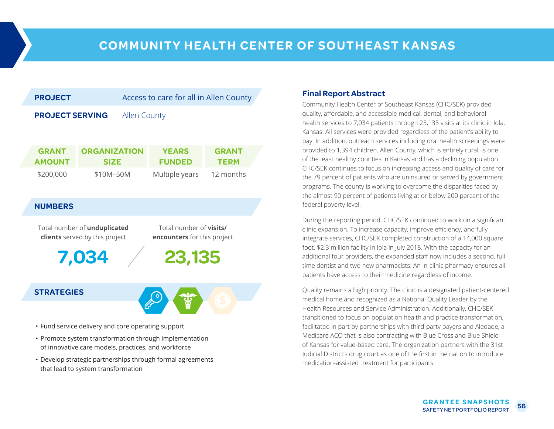| <b>PROJECT</b>                                                        |                                    |  | Access to care for all in Allen County                               |                             |  |
|-----------------------------------------------------------------------|------------------------------------|--|----------------------------------------------------------------------|-----------------------------|--|
| <b>PROJECT SERVING</b>                                                |                                    |  | <b>Allen County</b>                                                  |                             |  |
| <b>GRANT</b><br><b>AMOUNT</b>                                         | <b>ORGANIZATION</b><br><b>SIZE</b> |  | <b>YEARS</b><br><b>FUNDED</b>                                        | <b>GRANT</b><br><b>TERM</b> |  |
| \$200,000                                                             | \$10M-50M                          |  | Multiple years                                                       | 12 months                   |  |
| <b>NUMBERS</b>                                                        |                                    |  |                                                                      |                             |  |
| Total number of unduplicated<br><b>clients</b> served by this project |                                    |  | Total number of <b>visits/</b><br><b>encounters</b> for this project |                             |  |
|                                                                       | 4                                  |  | 23,135                                                               |                             |  |

### **STRATEGIES**



- Fund service delivery and core operating support
- Promote system transformation through implementation of innovative care models, practices, and workforce
- Develop strategic partnerships through formal agreements that lead to system transformation

#### **Final Report Abstract**

Community Health Center of Southeast Kansas (CHC/SEK) provided quality, affordable, and accessible medical, dental, and behavioral health services to 7,034 patients through 23,135 visits at its clinic in Iola, Kansas. All services were provided regardless of the patient's ability to pay. In addition, outreach services including oral health screenings were provided to 1,394 children. Allen County, which is entirely rural, is one of the least healthy counties in Kansas and has a declining population. CHC/SEK continues to focus on increasing access and quality of care for the 79 percent of patients who are uninsured or served by government programs. The county is working to overcome the disparities faced by the almost 90 percent of patients living at or below 200 percent of the federal poverty level.

During the reporting period, CHC/SEK continued to work on a significant clinic expansion. To increase capacity, improve efficiency, and fully integrate services, CHC/SEK completed construction of a 14,000 square foot, \$2.3 million facility in Iola in July 2018. With the capacity for an additional four providers, the expanded staff now includes a second, fulltime dentist and two new pharmacists. An in-clinic pharmacy ensures all patients have access to their medicine regardless of income.

Quality remains a high priority. The clinic is a designated patient-centered medical home and recognized as a National Quality Leader by the Health Resources and Service Administration. Additionally, CHC/SEK transitioned to focus on population health and practice transformation, facilitated in part by partnerships with third-party payers and Aledade, a Medicare ACO that is also contracting with Blue Cross and Blue Shield of Kansas for value-based care. The organization partners with the 31st Judicial District's drug court as one of the first in the nation to introduce medication-assisted treatment for participants.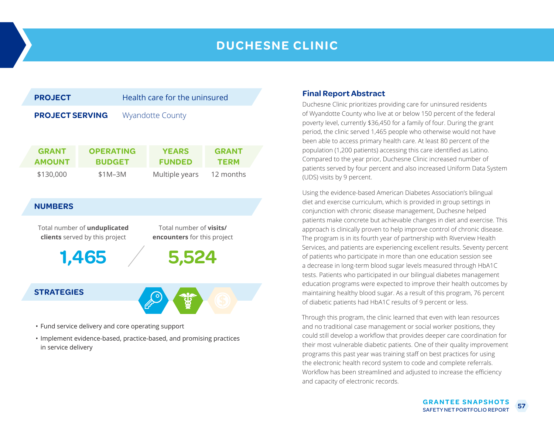### **DUCHESNE CLINIC**



- Fund service delivery and core operating support
- Implement evidence-based, practice-based, and promising practices in service delivery

### **Final Report Abstract**

Duchesne Clinic prioritizes providing care for uninsured residents of Wyandotte County who live at or below 150 percent of the federal poverty level, currently \$36,450 for a family of four. During the grant period, the clinic served 1,465 people who otherwise would not have been able to access primary health care. At least 80 percent of the population (1,200 patients) accessing this care identified as Latino. Compared to the year prior, Duchesne Clinic increased number of patients served by four percent and also increased Uniform Data System (UDS) visits by 9 percent.

Using the evidence-based American Diabetes Association's bilingual diet and exercise curriculum, which is provided in group settings in conjunction with chronic disease management, Duchesne helped patients make concrete but achievable changes in diet and exercise. This approach is clinically proven to help improve control of chronic disease. The program is in its fourth year of partnership with Riverview Health Services, and patients are experiencing excellent results. Seventy percent of patients who participate in more than one education session see a decrease in long-term blood sugar levels measured through HbA1C tests. Patients who participated in our bilingual diabetes management education programs were expected to improve their health outcomes by maintaining healthy blood sugar. As a result of this program, 76 percent of diabetic patients had HbA1C results of 9 percent or less.

Through this program, the clinic learned that even with lean resources and no traditional case management or social worker positions, they could still develop a workflow that provides deeper care coordination for their most vulnerable diabetic patients. One of their quality improvement programs this past year was training staff on best practices for using the electronic health record system to code and complete referrals. Workflow has been streamlined and adjusted to increase the efficiency and capacity of electronic records.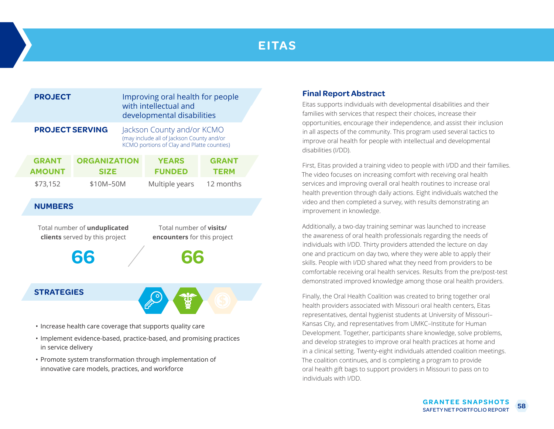## **EITAS**

| <b>PROJECT</b>                |                                                                      | Improving oral health for people<br>with intellectual and<br>developmental disabilities |                                                                                                                       |                             |  |
|-------------------------------|----------------------------------------------------------------------|-----------------------------------------------------------------------------------------|-----------------------------------------------------------------------------------------------------------------------|-----------------------------|--|
| <b>PROJECT SERVING</b>        |                                                                      |                                                                                         | Jackson County and/or KCMO<br>(may include all of Jackson County and/or<br>KCMO portions of Clay and Platte counties) |                             |  |
| <b>GRANT</b><br><b>AMOUNT</b> | <b>ORGANIZATION</b><br><b>SIZE</b>                                   |                                                                                         | <b>YEARS</b><br><b>FUNDED</b>                                                                                         | <b>GRANT</b><br><b>TERM</b> |  |
| \$73,152                      | \$10M-50M                                                            |                                                                                         | Multiple years                                                                                                        | 12 months                   |  |
| <b>NUMBERS</b>                |                                                                      |                                                                                         |                                                                                                                       |                             |  |
|                               | Total number of unduplicated<br>clients served by this project<br>66 |                                                                                         | Total number of visits/<br>encounters for this project<br>สล                                                          |                             |  |
| <b>STRATEGIES</b>             |                                                                      |                                                                                         |                                                                                                                       |                             |  |

- Increase health care coverage that supports quality care
- Implement evidence-based, practice-based, and promising practices in service delivery
- Promote system transformation through implementation of innovative care models, practices, and workforce

### **Final Report Abstract**

Eitas supports individuals with developmental disabilities and their families with services that respect their choices, increase their opportunities, encourage their independence, and assist their inclusion in all aspects of the community. This program used several tactics to improve oral health for people with intellectual and developmental disabilities (I/DD).

First, Eitas provided a training video to people with I/DD and their families. The video focuses on increasing comfort with receiving oral health services and improving overall oral health routines to increase oral health prevention through daily actions. Eight individuals watched the video and then completed a survey, with results demonstrating an improvement in knowledge.

Additionally, a two-day training seminar was launched to increase the awareness of oral health professionals regarding the needs of individuals with I/DD. Thirty providers attended the lecture on day one and practicum on day two, where they were able to apply their skills. People with I/DD shared what they need from providers to be comfortable receiving oral health services. Results from the pre/post-test demonstrated improved knowledge among those oral health providers.

Finally, the Oral Health Coalition was created to bring together oral health providers associated with Missouri oral health centers, Eitas representatives, dental hygienist students at University of Missouri– Kansas City, and representatives from UMKC–Institute for Human Development. Together, participants share knowledge, solve problems, and develop strategies to improve oral health practices at home and in a clinical setting. Twenty-eight individuals attended coalition meetings. The coalition continues, and is completing a program to provide oral health gift bags to support providers in Missouri to pass on to individuals with I/DD.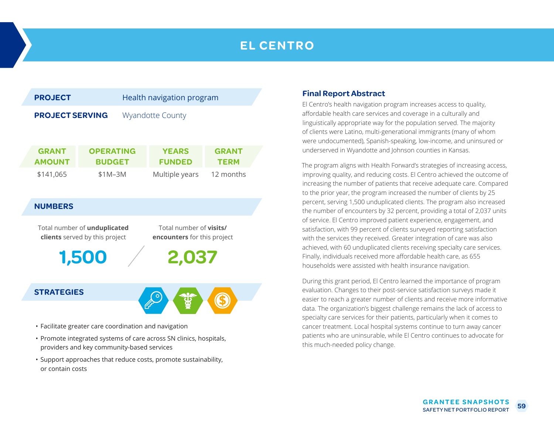## **EL CENTRO**



- Facilitate greater care coordination and navigation
- Promote integrated systems of care across SN clinics, hospitals, providers and key community-based services
- Support approaches that reduce costs, promote sustainability, or contain costs

#### **Final Report Abstract**

El Centro's health navigation program increases access to quality, affordable health care services and coverage in a culturally and linguistically appropriate way for the population served. The majority of clients were Latino, multi-generational immigrants (many of whom were undocumented), Spanish-speaking, low-income, and uninsured or underserved in Wyandotte and Johnson counties in Kansas.

The program aligns with Health Forward's strategies of increasing access, improving quality, and reducing costs. El Centro achieved the outcome of increasing the number of patients that receive adequate care. Compared to the prior year, the program increased the number of clients by 25 percent, serving 1,500 unduplicated clients. The program also increased the number of encounters by 32 percent, providing a total of 2,037 units of service. El Centro improved patient experience, engagement, and satisfaction, with 99 percent of clients surveyed reporting satisfaction with the services they received. Greater integration of care was also achieved, with 60 unduplicated clients receiving specialty care services. Finally, individuals received more affordable health care, as 655 households were assisted with health insurance navigation.

During this grant period, El Centro learned the importance of program evaluation. Changes to their post-service satisfaction surveys made it easier to reach a greater number of clients and receive more informative data. The organization's biggest challenge remains the lack of access to specialty care services for their patients, particularly when it comes to cancer treatment. Local hospital systems continue to turn away cancer patients who are uninsurable, while El Centro continues to advocate for this much-needed policy change.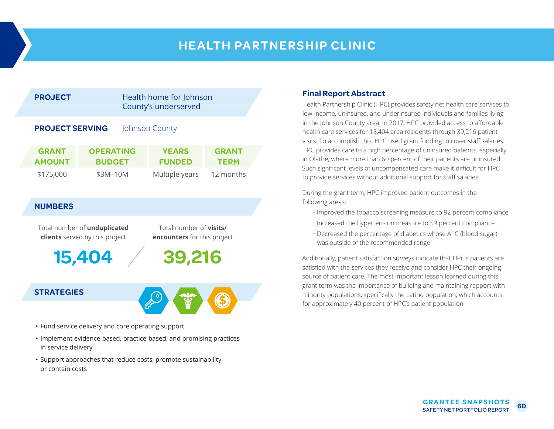### **HEALTH PARTNERSHIP CLINIC**



### **NUMBERS**

Total number of **unduplicated clients** served by this project

Total number of **visits/ encounters** for this project

**39,216**

**15,404**

#### **STRATEGIES**



- Fund service delivery and core operating support
- Implement evidence-based, practice-based, and promising practices in service delivery
- Support approaches that reduce costs, promote sustainability, or contain costs

### **Final Report Abstract**

Health Partnership Clinic (HPC) provides safety net health care services to low-income, uninsured, and underinsured individuals and families living in the Johnson County area. In 2017, HPC provided access to affordable health care services for 15,404 area residents through 39,216 patient visits. To accomplish this, HPC used grant funding to cover staff salaries. HPC provides care to a high percentage of uninsured patients, especially in Olathe, where more than 60 percent of their patients are uninsured. Such significant levels of uncompensated care make it difficult for HPC to provide services without additional support for staff salaries.

During the grant term, HPC improved patient outcomes in the following areas:

- Improved the tobacco screening measure to 92 percent compliance
- Increased the hypertension measure to 59 percent compliance
- Decreased the percentage of diabetics whose A1C (blood sugar) was outside of the recommended range

Additionally, patient satisfaction surveys indicate that HPC's patients are satisfied with the services they receive and consider HPC their ongoing source of patient care. The most important lesson learned during this grant term was the importance of building and maintaining rapport with minority populations, specifically the Latino population, which accounts for approximately 40 percent of HPC's patient population.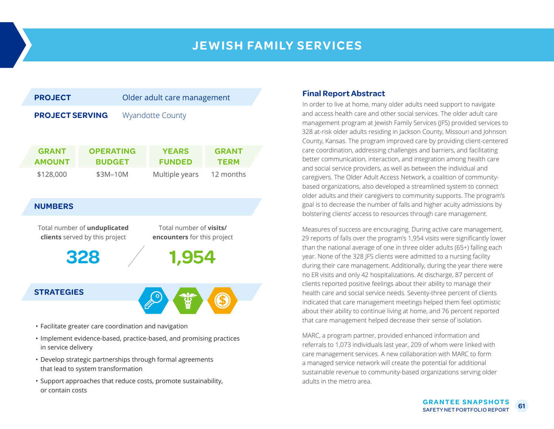### **JEWISH FAMILY SERVICES**



- Implement evidence-based, practice-based, and promising practices in service delivery
- Develop strategic partnerships through formal agreements that lead to system transformation
- Support approaches that reduce costs, promote sustainability, or contain costs

### **Final Report Abstract**

In order to live at home, many older adults need support to navigate and access health care and other social services. The older adult care management program at Jewish Family Services (JFS) provided services to 328 at-risk older adults residing in Jackson County, Missouri and Johnson County, Kansas. The program improved care by providing client-centered care coordination, addressing challenges and barriers, and facilitating better communication, interaction, and integration among health care and social service providers, as well as between the individual and caregivers. The Older Adult Access Network, a coalition of communitybased organizations, also developed a streamlined system to connect older adults and their caregivers to community supports. The program's goal is to decrease the number of falls and higher acuity admissions by bolstering clients' access to resources through care management.

Measures of success are encouraging. During active care management, 29 reports of falls over the program's 1,954 visits were significantly lower than the national average of one in three older adults (65+) falling each year. None of the 328 JFS clients were admitted to a nursing facility during their care management. Additionally, during the year there were no ER visits and only 42 hospitalizations. At discharge, 87 percent of clients reported positive feelings about their ability to manage their health care and social service needs. Seventy-three percent of clients indicated that care management meetings helped them feel optimistic about their ability to continue living at home, and 76 percent reported that care management helped decrease their sense of isolation.

MARC, a program partner, provided enhanced information and referrals to 1,073 individuals last year, 209 of whom were linked with care management services. A new collaboration with MARC to form a managed service network will create the potential for additional sustainable revenue to community-based organizations serving older adults in the metro area.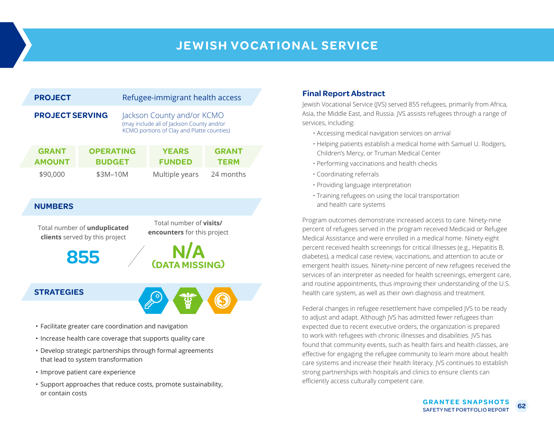## **JEWISH VOCATIONAL SERVICE**

| <b>PROJECT</b>         |                               |                                       | Refugee-immigrant health access |                                                                                                                       |                             |  |
|------------------------|-------------------------------|---------------------------------------|---------------------------------|-----------------------------------------------------------------------------------------------------------------------|-----------------------------|--|
| <b>PROJECT SERVING</b> |                               |                                       |                                 | Jackson County and/or KCMO<br>(may include all of Jackson County and/or<br>KCMO portions of Clay and Platte counties) |                             |  |
|                        | <b>GRANT</b><br><b>AMOUNT</b> | <b>OPERATING</b><br><b>BUDGET</b>     |                                 | <b>YEARS</b><br><b>FUNDED</b>                                                                                         | <b>GRANT</b><br><b>TERM</b> |  |
|                        | \$90,000                      | \$3M-10M                              |                                 | Multiple years                                                                                                        | 24 months                   |  |
|                        | <b>NUMBERS</b>                |                                       |                                 |                                                                                                                       |                             |  |
|                        | Total number of unduplicated  | clients served by this project<br>855 |                                 | Total number of <b>visits/</b><br><b>encounters</b> for this project<br><b>N/A</b><br>(DATA MISSING)                  |                             |  |
|                        | <b>STRATEGIES</b>             |                                       |                                 |                                                                                                                       |                             |  |

- Facilitate greater care coordination and navigation
- Increase health care coverage that supports quality care
- Develop strategic partnerships through formal agreements that lead to system transformation
- Improve patient care experience
- Support approaches that reduce costs, promote sustainability, or contain costs

### **Final Report Abstract**

Jewish Vocational Service (JVS) served 855 refugees, primarily from Africa, Asia, the Middle East, and Russia. JVS assists refugees through a range of services, including:

- Accessing medical navigation services on arrival
- Helping patients establish a medical home with Samuel U. Rodgers, Children's Mercy, or Truman Medical Center
- Performing vaccinations and health checks
- Coordinating referrals
- Providing language interpretation
- Training refugees on using the local transportation and health care systems

Program outcomes demonstrate increased access to care. Ninety-nine percent of refugees served in the program received Medicaid or Refugee Medical Assistance and were enrolled in a medical home. Ninety-eight percent received health screenings for critical illnesses (e.g., Hepatitis B, diabetes), a medical case review, vaccinations, and attention to acute or emergent health issues. Ninety-nine percent of new refugees received the services of an interpreter as needed for health screenings, emergent care, and routine appointments, thus improving their understanding of the U.S. health care system, as well as their own diagnosis and treatment.

Federal changes in refugee resettlement have compelled JVS to be ready to adjust and adapt. Although JVS has admitted fewer refugees than expected due to recent executive orders, the organization is prepared to work with refugees with chronic illnesses and disabilities. JVS has found that community events, such as health fairs and health classes, are effective for engaging the refugee community to learn more about health care systems and increase their health literacy. JVS continues to establish strong partnerships with hospitals and clinics to ensure clients can efficiently access culturally competent care.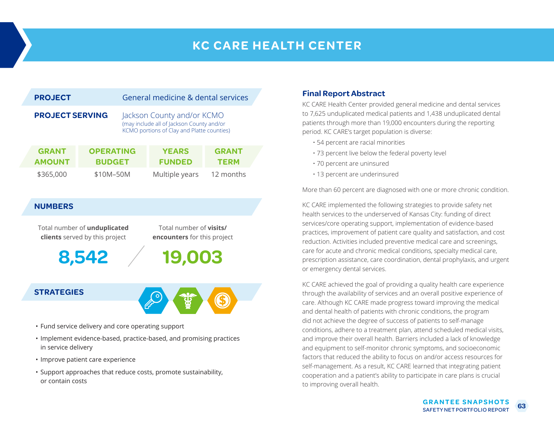## **KC CARE HEALTH CENTER**

|                        | <b>PROJECT</b>                      |                                   | General medicine & dental services                                                                                    |                             |  |
|------------------------|-------------------------------------|-----------------------------------|-----------------------------------------------------------------------------------------------------------------------|-----------------------------|--|
| <b>PROJECT SERVING</b> |                                     |                                   | Jackson County and/or KCMO<br>(may include all of Jackson County and/or<br>KCMO portions of Clay and Platte counties) |                             |  |
|                        | <b>GRANT</b><br><b>AMOUNT</b>       | <b>OPERATING</b><br><b>BUDGET</b> | <b>YEARS</b><br><b>FUNDED</b>                                                                                         | <b>GRANT</b><br><b>TERM</b> |  |
|                        | \$365,000                           | \$10M-50M                         | Multiple years                                                                                                        | 12 months                   |  |
|                        | <b>NUMBERS</b>                      |                                   |                                                                                                                       |                             |  |
|                        | Total number of <b>unduplicated</b> |                                   | Total number of <b>visits/</b>                                                                                        |                             |  |

**encounters** for this project

**8,542**

**clients** served by this project

### **STRATEGIES**



**19,003**

- Fund service delivery and core operating support
- Implement evidence-based, practice-based, and promising practices in service delivery
- Improve patient care experience
- Support approaches that reduce costs, promote sustainability, or contain costs

### **Final Report Abstract**

KC CARE Health Center provided general medicine and dental services to 7,625 unduplicated medical patients and 1,438 unduplicated dental patients through more than 19,000 encounters during the reporting period. KC CARE's target population is diverse:

- 54 percent are racial minorities
- 73 percent live below the federal poverty level
- 70 percent are uninsured
- 13 percent are underinsured

More than 60 percent are diagnosed with one or more chronic condition.

KC CARE implemented the following strategies to provide safety net health services to the underserved of Kansas City: funding of direct services/core operating support, implementation of evidence-based practices, improvement of patient care quality and satisfaction, and cost reduction. Activities included preventive medical care and screenings, care for acute and chronic medical conditions, specialty medical care, prescription assistance, care coordination, dental prophylaxis, and urgent or emergency dental services.

KC CARE achieved the goal of providing a quality health care experience through the availability of services and an overall positive experience of care. Although KC CARE made progress toward improving the medical and dental health of patients with chronic conditions, the program did not achieve the degree of success of patients to self-manage conditions, adhere to a treatment plan, attend scheduled medical visits, and improve their overall health. Barriers included a lack of knowledge and equipment to self-monitor chronic symptoms, and socioeconomic factors that reduced the ability to focus on and/or access resources for self-management. As a result, KC CARE learned that integrating patient cooperation and a patient's ability to participate in care plans is crucial to improving overall health.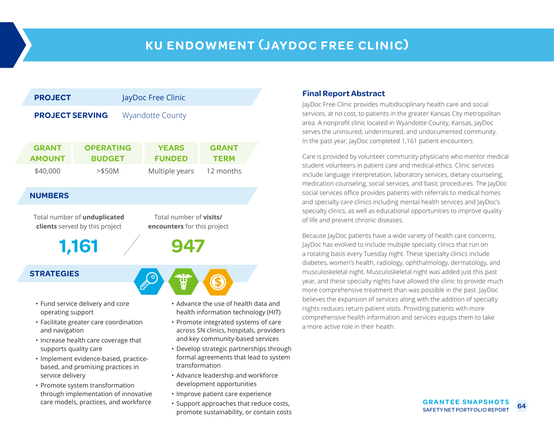## **KU ENDOWMENT (JAYDOC FREE CLINIC)**



- Facilitate greater care coordination and navigation
- Increase health care coverage that supports quality care
- Implement evidence-based, practicebased, and promising practices in service delivery
- Promote system transformation through implementation of innovative care models, practices, and workforce
- Advance the use of health data and health information technology (HIT)
- Promote integrated systems of care across SN clinics, hospitals, providers and key community-based services
- Develop strategic partnerships through formal agreements that lead to system transformation
- Advance leadership and workforce development opportunities
- Improve patient care experience
- Support approaches that reduce costs, promote sustainability, or contain costs

### **Final Report Abstract**

JayDoc Free Clinic provides multidisciplinary health care and social services, at no cost, to patients in the greater Kansas City metropolitan area. A nonprofit clinic located in Wyandotte County, Kansas, JayDoc serves the uninsured, underinsured, and undocumented community. In the past year, JayDoc completed 1,161 patient encounters.

Care is provided by volunteer community physicians who mentor medical student volunteers in patient care and medical ethics. Clinic services include language interpretation, laboratory services, dietary counseling, medication counseling, social services, and basic procedures. The JayDoc social services office provides patients with referrals to medical homes and specialty care clinics including mental health services and JayDoc's specialty clinics, as well as educational opportunities to improve quality of life and prevent chronic diseases.

Because JayDoc patients have a wide variety of health care concerns, JayDoc has evolved to include multiple specialty clinics that run on a rotating basis every Tuesday night. These specialty clinics include diabetes, women's health, radiology, ophthalmology, dermatology, and musculoskeletal night. Musculoskeletal night was added just this past year, and these specialty nights have allowed the clinic to provide much more comprehensive treatment than was possible in the past. JayDoc believes the expansion of services along with the addition of specialty nights reduces return patient visits. Providing patients with more comprehensive health information and services equips them to take a more active role in their health.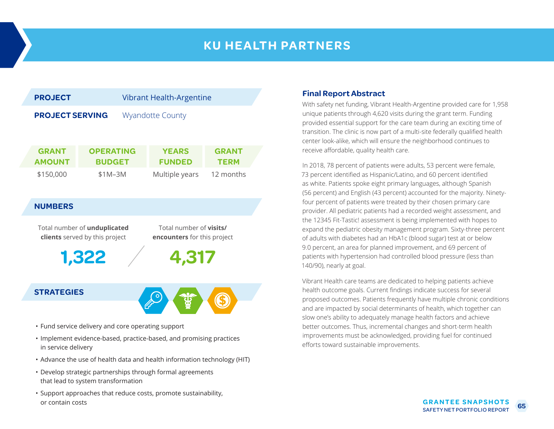### **KU HEALTH PARTNERS**



- Fund service delivery and core operating support
- Implement evidence-based, practice-based, and promising practices in service delivery
- Advance the use of health data and health information technology (HIT)
- Develop strategic partnerships through formal agreements that lead to system transformation
- Support approaches that reduce costs, promote sustainability, or contain costs

### **Final Report Abstract**

With safety net funding, Vibrant Health-Argentine provided care for 1,958 unique patients through 4,620 visits during the grant term. Funding provided essential support for the care team during an exciting time of transition. The clinic is now part of a multi-site federally qualified health center look-alike, which will ensure the neighborhood continues to receive affordable, quality health care.

In 2018, 78 percent of patients were adults, 53 percent were female, 73 percent identified as Hispanic/Latino, and 60 percent identified as white. Patients spoke eight primary languages, although Spanish (56 percent) and English (43 percent) accounted for the majority. Ninetyfour percent of patients were treated by their chosen primary care provider. All pediatric patients had a recorded weight assessment, and the 12345 Fit-Tastic! assessment is being implemented with hopes to expand the pediatric obesity management program. Sixty-three percent of adults with diabetes had an HbA1c (blood sugar) test at or below 9.0 percent, an area for planned improvement, and 69 percent of patients with hypertension had controlled blood pressure (less than 140/90), nearly at goal.

Vibrant Health care teams are dedicated to helping patients achieve health outcome goals. Current findings indicate success for several proposed outcomes. Patients frequently have multiple chronic conditions and are impacted by social determinants of health, which together can slow one's ability to adequately manage health factors and achieve better outcomes. Thus, incremental changes and short-term health improvements must be acknowledged, providing fuel for continued efforts toward sustainable improvements.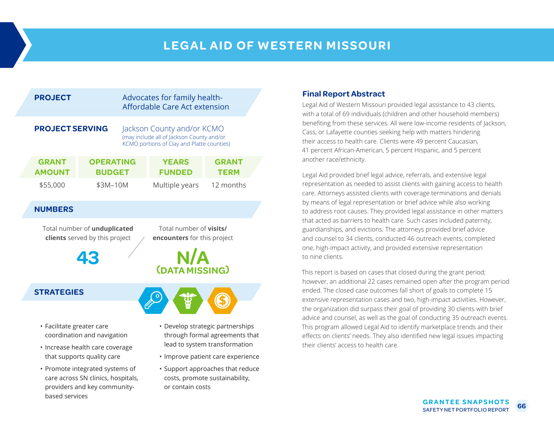### **LEGAL AID OF WESTERN MISSOURI**

| <b>PROJECT</b>                |                                   | Advocates for family health-<br>Affordable Care Act extension                                                         |                             |
|-------------------------------|-----------------------------------|-----------------------------------------------------------------------------------------------------------------------|-----------------------------|
| <b>PROJECT SERVING</b>        |                                   | Jackson County and/or KCMO<br>(may include all of Jackson County and/or<br>KCMO portions of Clay and Platte counties) |                             |
| <b>GRANT</b><br><b>AMOUNT</b> | <b>OPERATING</b><br><b>BUDGET</b> | <b>YEARS</b><br><b>FUNDED</b>                                                                                         | <b>GRANT</b><br><b>TERM</b> |
| \$55,000                      | \$3M-10M                          | Multiple years                                                                                                        | 12 months                   |

### **NUMBERS**

Total number of **unduplicated clients** served by this project

**43**

Total number of **visits/ encounters** for this project



### **STRATEGIES**

- Facilitate greater care coordination and navigation
- Increase health care coverage that supports quality care
- Promote integrated systems of care across SN clinics, hospitals, providers and key communitybased services
- Develop strategic partnerships through formal agreements that lead to system transformation
- Improve patient care experience
- Support approaches that reduce costs, promote sustainability, or contain costs

### **Final Report Abstract**

Legal Aid of Western Missouri provided legal assistance to 43 clients, with a total of 69 individuals (children and other household members) benefiting from these services. All were low-income residents of Jackson, Cass, or Lafayette counties seeking help with matters hindering their access to health care. Clients were 49 percent Caucasian, 41 percent African-American, 5 percent Hispanic, and 5 percent another race/ethnicity.

Legal Aid provided brief legal advice, referrals, and extensive legal representation as needed to assist clients with gaining access to health care. Attorneys assisted clients with coverage terminations and denials by means of legal representation or brief advice while also working to address root causes. They provided legal assistance in other matters that acted as barriers to health care. Such cases included paternity, guardianships, and evictions. The attorneys provided brief advice and counsel to 34 clients, conducted 46 outreach events, completed one, high-impact activity, and provided extensive representation to nine clients.

This report is based on cases that closed during the grant period; however, an additional 22 cases remained open after the program period ended. The closed case outcomes fall short of goals to complete 15 extensive representation cases and two, high-impact activities. However, the organization did surpass their goal of providing 30 clients with brief advice and counsel, as well as the goal of conducting 35 outreach events. This program allowed Legal Aid to identify marketplace trends and their effects on clients' needs. They also identified new legal issues impacting their clients' access to health care.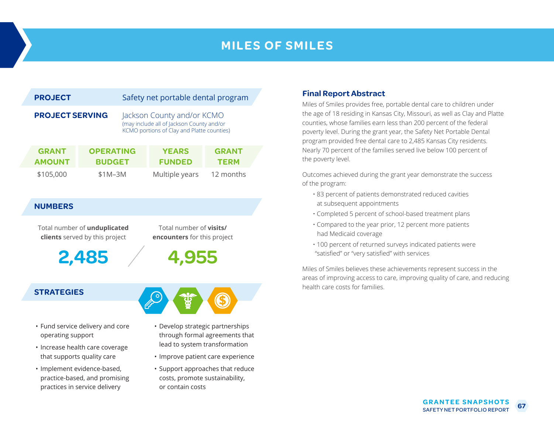## **MILES OF SMILES**

| <b>PROJECT</b>                |                                   |  | Safety net portable dental program                                                                                    |                             |  |  |  |
|-------------------------------|-----------------------------------|--|-----------------------------------------------------------------------------------------------------------------------|-----------------------------|--|--|--|
| <b>PROJECT SERVING</b>        |                                   |  | Jackson County and/or KCMO<br>(may include all of Jackson County and/or<br>KCMO portions of Clay and Platte counties) |                             |  |  |  |
| <b>GRANT</b><br><b>AMOUNT</b> | <b>OPERATING</b><br><b>BUDGET</b> |  | <b>YEARS</b><br><b>FUNDED</b>                                                                                         | <b>GRANT</b><br><b>TERM</b> |  |  |  |
| \$105,000                     | $$1M-3M$                          |  | Multiple years                                                                                                        | 12 months                   |  |  |  |

### **NUMBERS**

Total number of **unduplicated clients** served by this project

**2,485**

Total number of **visits/ encounters** for this project

**4,955**

### **STRATEGIES**

- Fund service delivery and core operating support
- Increase health care coverage that supports quality care
- Implement evidence-based, practice-based, and promising practices in service delivery



- Improve patient care experience
- Support approaches that reduce costs, promote sustainability, or contain costs

### **Final Report Abstract**

Miles of Smiles provides free, portable dental care to children under the age of 18 residing in Kansas City, Missouri, as well as Clay and Platte counties, whose families earn less than 200 percent of the federal poverty level. During the grant year, the Safety Net Portable Dental program provided free dental care to 2,485 Kansas City residents. Nearly 70 percent of the families served live below 100 percent of the poverty level.

Outcomes achieved during the grant year demonstrate the success of the program:

- 83 percent of patients demonstrated reduced cavities at subsequent appointments
- Completed 5 percent of school-based treatment plans
- Compared to the year prior, 12 percent more patients had Medicaid coverage
- 100 percent of returned surveys indicated patients were "satisfied" or "very satisfied" with services

Miles of Smiles believes these achievements represent success in the areas of improving access to care, improving quality of care, and reducing health care costs for families.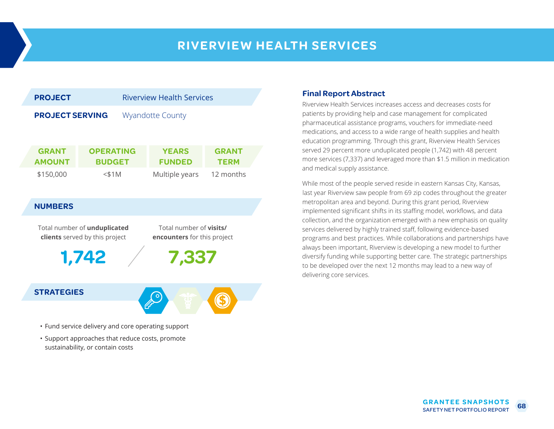### **RIVERVIEW HEALTH SERVICES**



### **STRATEGIES**



- Fund service delivery and core operating support
- Support approaches that reduce costs, promote sustainability, or contain costs

### **Final Report Abstract**

Riverview Health Services increases access and decreases costs for patients by providing help and case management for complicated pharmaceutical assistance programs, vouchers for immediate-need medications, and access to a wide range of health supplies and health education programming. Through this grant, Riverview Health Services served 29 percent more unduplicated people (1,742) with 48 percent more services (7,337) and leveraged more than \$1.5 million in medication and medical supply assistance.

While most of the people served reside in eastern Kansas City, Kansas, last year Riverview saw people from 69 zip codes throughout the greater metropolitan area and beyond. During this grant period, Riverview implemented significant shifts in its staffing model, workflows, and data collection, and the organization emerged with a new emphasis on quality services delivered by highly trained staff, following evidence-based programs and best practices. While collaborations and partnerships have always been important, Riverview is developing a new model to further diversify funding while supporting better care. The strategic partnerships to be developed over the next 12 months may lead to a new way of delivering core services.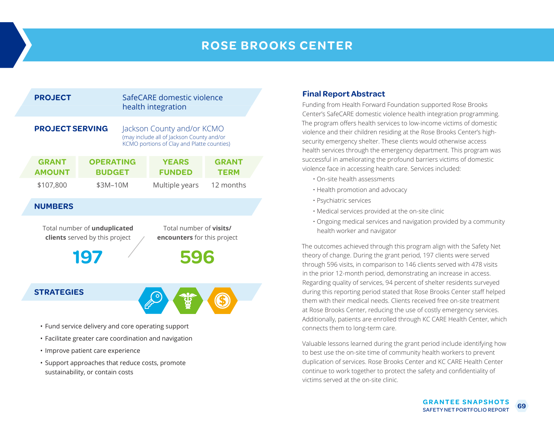## **ROSE BROOKS CENTER**

| <b>PROJECT</b>                                                                                                                         |                                   |  | SafeCARE domestic violence<br>health integration                                                                      |                             |  |  |
|----------------------------------------------------------------------------------------------------------------------------------------|-----------------------------------|--|-----------------------------------------------------------------------------------------------------------------------|-----------------------------|--|--|
| <b>PROJECT SERVING</b>                                                                                                                 |                                   |  | Jackson County and/or KCMO<br>(may include all of Jackson County and/or<br>KCMO portions of Clay and Platte counties) |                             |  |  |
| <b>GRANT</b><br><b>AMOUNT</b>                                                                                                          | <b>OPERATING</b><br><b>BUDGET</b> |  | <b>YEARS</b><br><b>FUNDED</b>                                                                                         | <b>GRANT</b><br><b>TERM</b> |  |  |
| \$107,800                                                                                                                              | \$3M-10M                          |  | Multiple years                                                                                                        | 12 months                   |  |  |
| <b>NUMBERS</b>                                                                                                                         |                                   |  |                                                                                                                       |                             |  |  |
| Total number of visits/<br>Total number of unduplicated<br>clients served by this project<br>encounters for this project<br>197<br>596 |                                   |  |                                                                                                                       |                             |  |  |
| <b>STRATEGIES</b>                                                                                                                      |                                   |  |                                                                                                                       |                             |  |  |
|                                                                                                                                        |                                   |  | • Fund service delivery and core operating support                                                                    |                             |  |  |

- Facilitate greater care coordination and navigation
- Improve patient care experience
- Support approaches that reduce costs, promote sustainability, or contain costs

### **Final Report Abstract**

Funding from Health Forward Foundation supported Rose Brooks Center's SafeCARE domestic violence health integration programming. The program offers health services to low-income victims of domestic violence and their children residing at the Rose Brooks Center's highsecurity emergency shelter. These clients would otherwise access health services through the emergency department. This program was successful in ameliorating the profound barriers victims of domestic violence face in accessing health care. Services included:

- On-site health assessments
- Health promotion and advocacy
- Psychiatric services
- Medical services provided at the on-site clinic
- Ongoing medical services and navigation provided by a community health worker and navigator

The outcomes achieved through this program align with the Safety Net theory of change. During the grant period, 197 clients were served through 596 visits, in comparison to 146 clients served with 478 visits in the prior 12-month period, demonstrating an increase in access. Regarding quality of services, 94 percent of shelter residents surveyed during this reporting period stated that Rose Brooks Center staff helped them with their medical needs. Clients received free on-site treatment at Rose Brooks Center, reducing the use of costly emergency services. Additionally, patients are enrolled through KC CARE Health Center, which connects them to long-term care.

Valuable lessons learned during the grant period include identifying how to best use the on-site time of community health workers to prevent duplication of services. Rose Brooks Center and KC CARE Health Center continue to work together to protect the safety and confidentiality of victims served at the on-site clinic.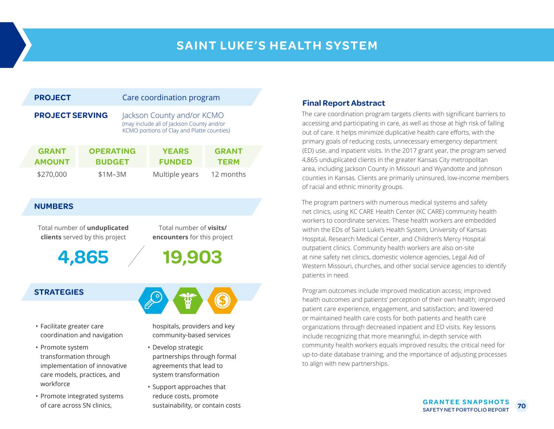## **SAINT LUKE'S HEALTH SYSTEM**

| <b>PROJECT</b>         |                               | Care coordination program         |                                                                                                                       |                               |                             |
|------------------------|-------------------------------|-----------------------------------|-----------------------------------------------------------------------------------------------------------------------|-------------------------------|-----------------------------|
| <b>PROJECT SERVING</b> |                               |                                   | Jackson County and/or KCMO<br>(may include all of Jackson County and/or<br>KCMO portions of Clay and Platte counties) |                               |                             |
|                        | <b>GRANT</b><br><b>AMOUNT</b> | <b>OPERATING</b><br><b>BUDGET</b> |                                                                                                                       | <b>YEARS</b><br><b>FUNDED</b> | <b>GRANT</b><br><b>TERM</b> |
|                        | \$270,000                     | $$1M-3M$                          |                                                                                                                       | Multiple years                | 12 months                   |

### **NUMBERS**

Total number of **unduplicated clients** served by this project

**4,865**

Total number of **visits/ encounters** for this project

### **STRATEGIES**

- Facilitate greater care coordination and navigation
- Promote system transformation through implementation of innovative care models, practices, and workforce
- Promote integrated systems of care across SN clinics,

**19,903**



hospitals, providers and key community-based services

- Develop strategic partnerships through formal agreements that lead to system transformation
- Support approaches that reduce costs, promote sustainability, or contain costs

### **Final Report Abstract**

The care coordination program targets clients with significant barriers to accessing and participating in care, as well as those at high risk of falling out of care. It helps minimize duplicative health care efforts, with the primary goals of reducing costs, unnecessary emergency department (ED) use, and inpatient visits. In the 2017 grant year, the program served 4,865 unduplicated clients in the greater Kansas City metropolitan area, including Jackson County in Missouri and Wyandotte and Johnson counties in Kansas. Clients are primarily uninsured, low-income members of racial and ethnic minority groups.

The program partners with numerous medical systems and safety net clinics, using KC CARE Health Center (KC CARE) community health workers to coordinate services. These health workers are embedded within the EDs of Saint Luke's Health System, University of Kansas Hospital, Research Medical Center, and Children's Mercy Hospital outpatient clinics. Community health workers are also on-site at nine safety net clinics, domestic violence agencies, Legal Aid of Western Missouri, churches, and other social service agencies to identify patients in need.

Program outcomes include improved medication access; improved health outcomes and patients' perception of their own health; improved patient care experience, engagement, and satisfaction; and lowered or maintained health care costs for both patients and health care organizations through decreased inpatient and ED visits. Key lessons include recognizing that more meaningful, in-depth service with community health workers equals improved results; the critical need for up-to-date database training; and the importance of adjusting processes to align with new partnerships.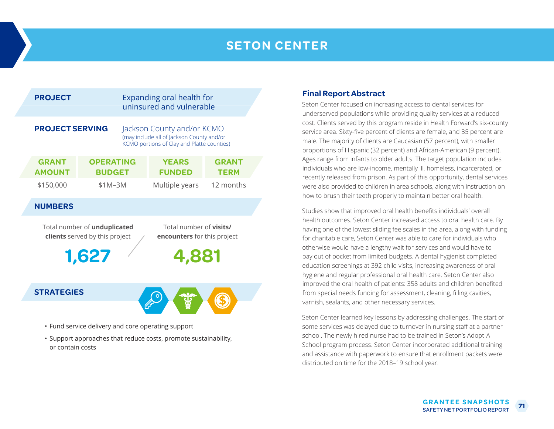### **SETON CENTER**

|                | <b>PROJECT</b>                                                                                                                  |                                   |  | Expanding oral health for<br>uninsured and vulnerable                                                                 |                             |  |  |  |
|----------------|---------------------------------------------------------------------------------------------------------------------------------|-----------------------------------|--|-----------------------------------------------------------------------------------------------------------------------|-----------------------------|--|--|--|
|                | <b>PROJECT SERVING</b>                                                                                                          |                                   |  | Jackson County and/or KCMO<br>(may include all of Jackson County and/or<br>KCMO portions of Clay and Platte counties) |                             |  |  |  |
|                | <b>GRANT</b><br><b>AMOUNT</b>                                                                                                   | <b>OPERATING</b><br><b>BUDGET</b> |  | <b>YEARS</b><br><b>FUNDED</b>                                                                                         | <b>GRANT</b><br><b>TERM</b> |  |  |  |
|                | \$150,000                                                                                                                       | $$1M-3M$                          |  | Multiple years                                                                                                        | 12 months                   |  |  |  |
|                | <b>NUMBERS</b>                                                                                                                  |                                   |  |                                                                                                                       |                             |  |  |  |
|                | Total number of <b>visits/</b><br>Total number of unduplicated<br>clients served by this project<br>encounters for this project |                                   |  |                                                                                                                       |                             |  |  |  |
| 1,627<br>4,881 |                                                                                                                                 |                                   |  |                                                                                                                       |                             |  |  |  |
|                | <b>STRATEGIES</b>                                                                                                               |                                   |  |                                                                                                                       |                             |  |  |  |
|                |                                                                                                                                 |                                   |  |                                                                                                                       |                             |  |  |  |

- Fund service delivery and core operating support
- Support approaches that reduce costs, promote sustainability, or contain costs

### **Final Report Abstract**

Seton Center focused on increasing access to dental services for underserved populations while providing quality services at a reduced cost. Clients served by this program reside in Health Forward's six-county service area. Sixty-five percent of clients are female, and 35 percent are male. The majority of clients are Caucasian (57 percent), with smaller proportions of Hispanic (32 percent) and African-American (9 percent). Ages range from infants to older adults. The target population includes individuals who are low-income, mentally ill, homeless, incarcerated, or recently released from prison. As part of this opportunity, dental services were also provided to children in area schools, along with instruction on how to brush their teeth properly to maintain better oral health.

Studies show that improved oral health benefits individuals' overall health outcomes. Seton Center increased access to oral health care. By having one of the lowest sliding fee scales in the area, along with funding for charitable care, Seton Center was able to care for individuals who otherwise would have a lengthy wait for services and would have to pay out of pocket from limited budgets. A dental hygienist completed education screenings at 392 child visits, increasing awareness of oral hygiene and regular professional oral health care. Seton Center also improved the oral health of patients: 358 adults and children benefited from special needs funding for assessment, cleaning, filling cavities, varnish, sealants, and other necessary services.

Seton Center learned key lessons by addressing challenges. The start of some services was delayed due to turnover in nursing staff at a partner school. The newly hired nurse had to be trained in Seton's Adopt-A-School program process. Seton Center incorporated additional training and assistance with paperwork to ensure that enrollment packets were distributed on time for the 2018–19 school year.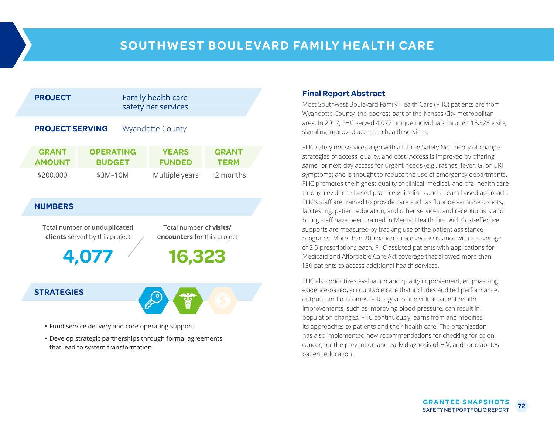

Total number of **unduplicated clients** served by this project

**4,077**

Total number of **visits/ encounters** for this project

**16,323**

### **STRATEGIES**



- Fund service delivery and core operating support
- Develop strategic partnerships through formal agreements that lead to system transformation

### **Final Report Abstract**

Most Southwest Boulevard Family Health Care (FHC) patients are from Wyandotte County, the poorest part of the Kansas City metropolitan area. In 2017, FHC served 4,077 unique individuals through 16,323 visits, signaling improved access to health services.

FHC safety net services align with all three Safety Net theory of change strategies of access, quality, and cost. Access is improved by offering same- or next-day access for urgent needs (e.g., rashes, fever, GI or URI symptoms) and is thought to reduce the use of emergency departments. FHC promotes the highest quality of clinical, medical, and oral health care through evidence-based practice guidelines and a team-based approach. FHC's staff are trained to provide care such as fluoride varnishes, shots, lab testing, patient education, and other services, and receptionists and billing staff have been trained in Mental Health First Aid. Cost-effective supports are measured by tracking use of the patient assistance programs. More than 200 patients received assistance with an average of 2.5 prescriptions each. FHC assisted patients with applications for Medicaid and Affordable Care Act coverage that allowed more than 150 patients to access additional health services.

FHC also prioritizes evaluation and quality improvement, emphasizing evidence-based, accountable care that includes audited performance, outputs, and outcomes. FHC's goal of individual patient health improvements, such as improving blood pressure, can result in population changes. FHC continuously learns from and modifies its approaches to patients and their health care. The organization has also implemented new recommendations for checking for colon cancer, for the prevention and early diagnosis of HIV, and for diabetes patient education.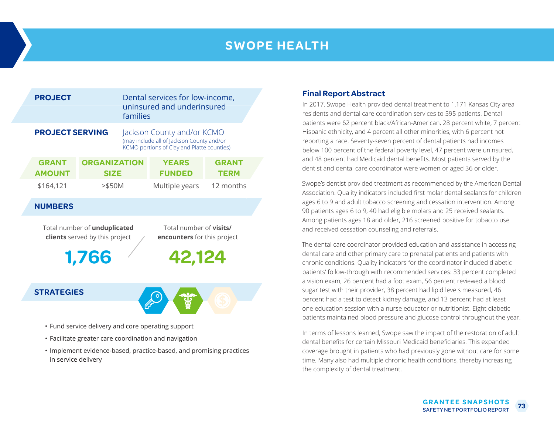## **SWOPE HEALTH**

|                                                                                                                                                           | <b>PROJECT</b>                |                                    | Dental services for low-income,<br>uninsured and underinsured<br>families                                             |                               |                             |  |  |
|-----------------------------------------------------------------------------------------------------------------------------------------------------------|-------------------------------|------------------------------------|-----------------------------------------------------------------------------------------------------------------------|-------------------------------|-----------------------------|--|--|
|                                                                                                                                                           | <b>PROJECT SERVING</b>        |                                    | Jackson County and/or KCMO<br>(may include all of Jackson County and/or<br>KCMO portions of Clay and Platte counties) |                               |                             |  |  |
|                                                                                                                                                           | <b>GRANT</b><br><b>AMOUNT</b> | <b>ORGANIZATION</b><br><b>SIZE</b> |                                                                                                                       | <b>YEARS</b><br><b>FUNDED</b> | <b>GRANT</b><br><b>TERM</b> |  |  |
|                                                                                                                                                           | \$164,121                     | $>$ \$50M                          |                                                                                                                       | Multiple years                | 12 months                   |  |  |
|                                                                                                                                                           | <b>NUMBERS</b>                |                                    |                                                                                                                       |                               |                             |  |  |
| Total number of unduplicated<br>Total number of <b>visits/</b><br>clients served by this project<br><b>encounters</b> for this project<br>42,124<br>1,766 |                               |                                    |                                                                                                                       |                               |                             |  |  |
|                                                                                                                                                           | <b>STRATEGIES</b>             |                                    |                                                                                                                       |                               |                             |  |  |
|                                                                                                                                                           |                               |                                    |                                                                                                                       |                               |                             |  |  |

- Fund service delivery and core operating support
- Facilitate greater care coordination and navigation
- Implement evidence-based, practice-based, and promising practices in service delivery

### **Final Report Abstract**

In 2017, Swope Health provided dental treatment to 1,171 Kansas City area residents and dental care coordination services to 595 patients. Dental patients were 62 percent black/African-American, 28 percent white, 7 percent Hispanic ethnicity, and 4 percent all other minorities, with 6 percent not reporting a race. Seventy-seven percent of dental patients had incomes below 100 percent of the federal poverty level, 47 percent were uninsured, and 48 percent had Medicaid dental benefits. Most patients served by the dentist and dental care coordinator were women or aged 36 or older.

Swope's dentist provided treatment as recommended by the American Dental Association. Quality indicators included first molar dental sealants for children ages 6 to 9 and adult tobacco screening and cessation intervention. Among 90 patients ages 6 to 9, 40 had eligible molars and 25 received sealants. Among patients ages 18 and older, 216 screened positive for tobacco use and received cessation counseling and referrals.

The dental care coordinator provided education and assistance in accessing dental care and other primary care to prenatal patients and patients with chronic conditions. Quality indicators for the coordinator included diabetic patients' follow-through with recommended services: 33 percent completed a vision exam, 26 percent had a foot exam, 56 percent reviewed a blood sugar test with their provider, 38 percent had lipid levels measured, 46 percent had a test to detect kidney damage, and 13 percent had at least one education session with a nurse educator or nutritionist. Eight diabetic patients maintained blood pressure and glucose control throughout the year.

In terms of lessons learned, Swope saw the impact of the restoration of adult dental benefits for certain Missouri Medicaid beneficiaries. This expanded coverage brought in patients who had previously gone without care for some time. Many also had multiple chronic health conditions, thereby increasing the complexity of dental treatment.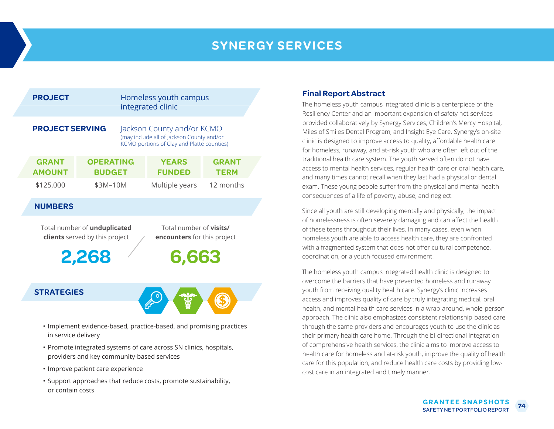# **SYNERGY SERVICES**

| <b>PROJECT</b>                                                                                                                             |                                   |  | Homeless youth campus<br>integrated clinic                                                                            |                             |  |  |  |
|--------------------------------------------------------------------------------------------------------------------------------------------|-----------------------------------|--|-----------------------------------------------------------------------------------------------------------------------|-----------------------------|--|--|--|
| <b>PROJECT SERVING</b>                                                                                                                     |                                   |  | Jackson County and/or KCMO<br>(may include all of Jackson County and/or<br>KCMO portions of Clay and Platte counties) |                             |  |  |  |
| <b>GRANT</b><br><b>AMOUNT</b>                                                                                                              | <b>OPERATING</b><br><b>BUDGET</b> |  | <b>YEARS</b><br><b>FUNDED</b>                                                                                         | <b>GRANT</b><br><b>TERM</b> |  |  |  |
| \$125,000                                                                                                                                  | \$3M-10M                          |  | Multiple years                                                                                                        | 12 months                   |  |  |  |
| <b>NUMBERS</b>                                                                                                                             |                                   |  |                                                                                                                       |                             |  |  |  |
| Total number of visits/<br>Total number of unduplicated<br>clients served by this project<br>encounters for this project<br>6,663<br>2,268 |                                   |  |                                                                                                                       |                             |  |  |  |
| <b>STRATEGIES</b>                                                                                                                          |                                   |  |                                                                                                                       |                             |  |  |  |

- Implement evidence-based, practice-based, and promising practices in service delivery
- Promote integrated systems of care across SN clinics, hospitals, providers and key community-based services
- Improve patient care experience
- Support approaches that reduce costs, promote sustainability, or contain costs

### **Final Report Abstract**

The homeless youth campus integrated clinic is a centerpiece of the Resiliency Center and an important expansion of safety net services provided collaboratively by Synergy Services, Children's Mercy Hospital, Miles of Smiles Dental Program, and Insight Eye Care. Synergy's on-site clinic is designed to improve access to quality, affordable health care for homeless, runaway, and at-risk youth who are often left out of the traditional health care system. The youth served often do not have access to mental health services, regular health care or oral health care, and many times cannot recall when they last had a physical or dental exam. These young people suffer from the physical and mental health consequences of a life of poverty, abuse, and neglect.

Since all youth are still developing mentally and physically, the impact of homelessness is often severely damaging and can affect the health of these teens throughout their lives. In many cases, even when homeless youth are able to access health care, they are confronted with a fragmented system that does not offer cultural competence, coordination, or a youth-focused environment.

The homeless youth campus integrated health clinic is designed to overcome the barriers that have prevented homeless and runaway youth from receiving quality health care. Synergy's clinic increases access and improves quality of care by truly integrating medical, oral health, and mental health care services in a wrap-around, whole-person approach. The clinic also emphasizes consistent relationship-based care through the same providers and encourages youth to use the clinic as their primary health care home. Through the bi-directional integration of comprehensive health services, the clinic aims to improve access to health care for homeless and at-risk youth, improve the quality of health care for this population, and reduce health care costs by providing lowcost care in an integrated and timely manner.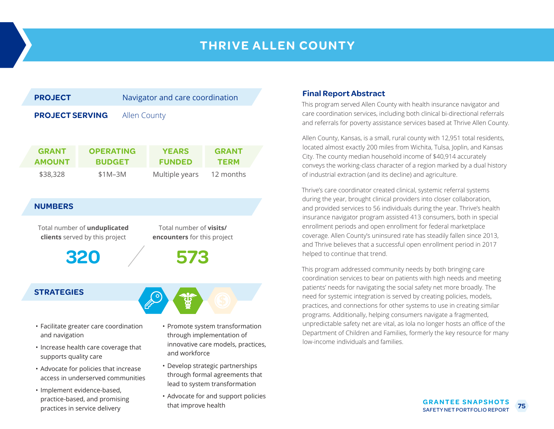# **THRIVE ALLEN COUNTY**



- Increase health care coverage that supports quality care
- Advocate for policies that increase access in underserved communities
- Implement evidence-based, practice-based, and promising practices in service delivery
- innovative care models, practices, and workforce
- Develop strategic partnerships through formal agreements that lead to system transformation
- Advocate for and support policies that improve health

### **Final Report Abstract**

This program served Allen County with health insurance navigator and care coordination services, including both clinical bi-directional referrals and referrals for poverty assistance services based at Thrive Allen County.

Allen County, Kansas, is a small, rural county with 12,951 total residents, located almost exactly 200 miles from Wichita, Tulsa, Joplin, and Kansas City. The county median household income of \$40,914 accurately conveys the working-class character of a region marked by a dual history of industrial extraction (and its decline) and agriculture.

Thrive's care coordinator created clinical, systemic referral systems during the year, brought clinical providers into closer collaboration, and provided services to 56 individuals during the year. Thrive's health insurance navigator program assisted 413 consumers, both in special enrollment periods and open enrollment for federal marketplace coverage. Allen County's uninsured rate has steadily fallen since 2013, and Thrive believes that a successful open enrollment period in 2017 helped to continue that trend.

This program addressed community needs by both bringing care coordination services to bear on patients with high needs and meeting patients' needs for navigating the social safety net more broadly. The need for systemic integration is served by creating policies, models, practices, and connections for other systems to use in creating similar programs. Additionally, helping consumers navigate a fragmented, unpredictable safety net are vital, as Iola no longer hosts an office of the Department of Children and Families, formerly the key resource for many low-income individuals and families.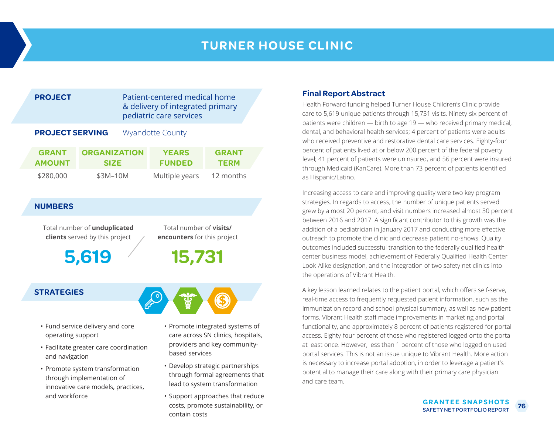## **TURNER HOUSE CLINIC**

|                        | <b>PROJECT</b>                |                                    |  | Patient-centered medical home<br>& delivery of integrated primary<br>pediatric care services |                             |  |  |
|------------------------|-------------------------------|------------------------------------|--|----------------------------------------------------------------------------------------------|-----------------------------|--|--|
| <b>PROJECT SERVING</b> |                               |                                    |  | <b>Wyandotte County</b>                                                                      |                             |  |  |
|                        | <b>GRANT</b><br><b>AMOUNT</b> | <b>ORGANIZATION</b><br><b>SIZE</b> |  | <b>YEARS</b><br><b>FUNDED</b>                                                                | <b>GRANT</b><br><b>TERM</b> |  |  |
|                        | \$280,000                     | \$3M-10M                           |  | Multiple years                                                                               | 12 months                   |  |  |

#### **NUMBERS**

Total number of **unduplicated clients** served by this project

**5,619**

Total number of **visits/ encounters** for this project

**15,731**

### **STRATEGIES**

- Fund service delivery and core operating support
- Facilitate greater care coordination and navigation
- Promote system transformation through implementation of innovative care models, practices, and workforce
- Promote integrated systems of care across SN clinics, hospitals, providers and key communitybased services
- Develop strategic partnerships through formal agreements that lead to system transformation
- Support approaches that reduce costs, promote sustainability, or contain costs

#### **Final Report Abstract**

Health Forward funding helped Turner House Children's Clinic provide care to 5,619 unique patients through 15,731 visits. Ninety-six percent of patients were children — birth to age 19 — who received primary medical, dental, and behavioral health services; 4 percent of patients were adults who received preventive and restorative dental care services. Eighty-four percent of patients lived at or below 200 percent of the federal poverty level; 41 percent of patients were uninsured, and 56 percent were insured through Medicaid (KanCare). More than 73 percent of patients identified as Hispanic/Latino.

Increasing access to care and improving quality were two key program strategies. In regards to access, the number of unique patients served grew by almost 20 percent, and visit numbers increased almost 30 percent between 2016 and 2017. A significant contributor to this growth was the addition of a pediatrician in January 2017 and conducting more effective outreach to promote the clinic and decrease patient no-shows. Quality outcomes included successful transition to the federally qualified health center business model, achievement of Federally Qualified Health Center Look-Alike designation, and the integration of two safety net clinics into the operations of Vibrant Health.

A key lesson learned relates to the patient portal, which offers self-serve, real-time access to frequently requested patient information, such as the immunization record and school physical summary, as well as new patient forms. Vibrant Health staff made improvements in marketing and portal functionality, and approximately 8 percent of patients registered for portal access. Eighty-four percent of those who registered logged onto the portal at least once. However, less than 1 percent of those who logged on used portal services. This is not an issue unique to Vibrant Health. More action is necessary to increase portal adoption, in order to leverage a patient's potential to manage their care along with their primary care physician and care team.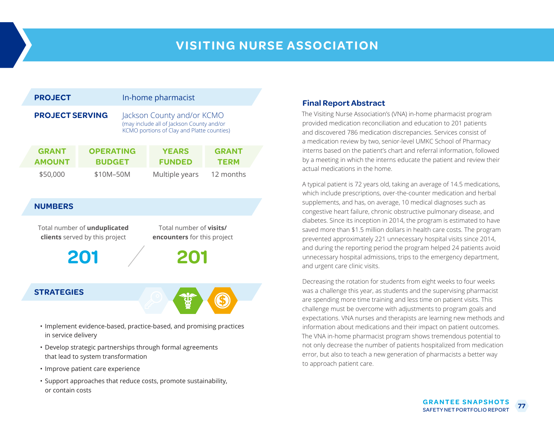# **VISITING NURSE ASSOCIATION**

| <b>PROJECT</b>                                                                                                                         |                                   | In-home pharmacist                                                                                                    |                             |  |  |
|----------------------------------------------------------------------------------------------------------------------------------------|-----------------------------------|-----------------------------------------------------------------------------------------------------------------------|-----------------------------|--|--|
| <b>PROJECT SERVING</b>                                                                                                                 |                                   | Jackson County and/or KCMO<br>(may include all of Jackson County and/or<br>KCMO portions of Clay and Platte counties) |                             |  |  |
| <b>GRANT</b><br><b>AMOUNT</b>                                                                                                          | <b>OPERATING</b><br><b>BUDGET</b> | <b>YEARS</b><br><b>FUNDED</b>                                                                                         | <b>GRANT</b><br><b>TERM</b> |  |  |
| \$50,000                                                                                                                               | \$10M-50M                         | Multiple years                                                                                                        | 12 months                   |  |  |
| <b>NUMBERS</b>                                                                                                                         |                                   |                                                                                                                       |                             |  |  |
| Total number of visits/<br>Total number of unduplicated<br>clients served by this project<br>encounters for this project<br>201<br>201 |                                   |                                                                                                                       |                             |  |  |
| <b>STRATEGIES</b>                                                                                                                      |                                   |                                                                                                                       |                             |  |  |
| the contract of the contract of the contract of the contract of the contract of the contract of the contract of                        |                                   |                                                                                                                       |                             |  |  |

- Implement evidence-based, practice-based, and promising practices in service delivery
- Develop strategic partnerships through formal agreements that lead to system transformation
- Improve patient care experience
- Support approaches that reduce costs, promote sustainability, or contain costs

### **Final Report Abstract**

The Visiting Nurse Association's (VNA) in-home pharmacist program provided medication reconciliation and education to 201 patients and discovered 786 medication discrepancies. Services consist of a medication review by two, senior-level UMKC School of Pharmacy interns based on the patient's chart and referral information, followed by a meeting in which the interns educate the patient and review their actual medications in the home.

A typical patient is 72 years old, taking an average of 14.5 medications, which include prescriptions, over-the-counter medication and herbal supplements, and has, on average, 10 medical diagnoses such as congestive heart failure, chronic obstructive pulmonary disease, and diabetes. Since its inception in 2014, the program is estimated to have saved more than \$1.5 million dollars in health care costs. The program prevented approximately 221 unnecessary hospital visits since 2014, and during the reporting period the program helped 24 patients avoid unnecessary hospital admissions, trips to the emergency department, and urgent care clinic visits.

Decreasing the rotation for students from eight weeks to four weeks was a challenge this year, as students and the supervising pharmacist are spending more time training and less time on patient visits. This challenge must be overcome with adjustments to program goals and expectations. VNA nurses and therapists are learning new methods and information about medications and their impact on patient outcomes. The VNA in-home pharmacist program shows tremendous potential to not only decrease the number of patients hospitalized from medication error, but also to teach a new generation of pharmacists a better way to approach patient care.